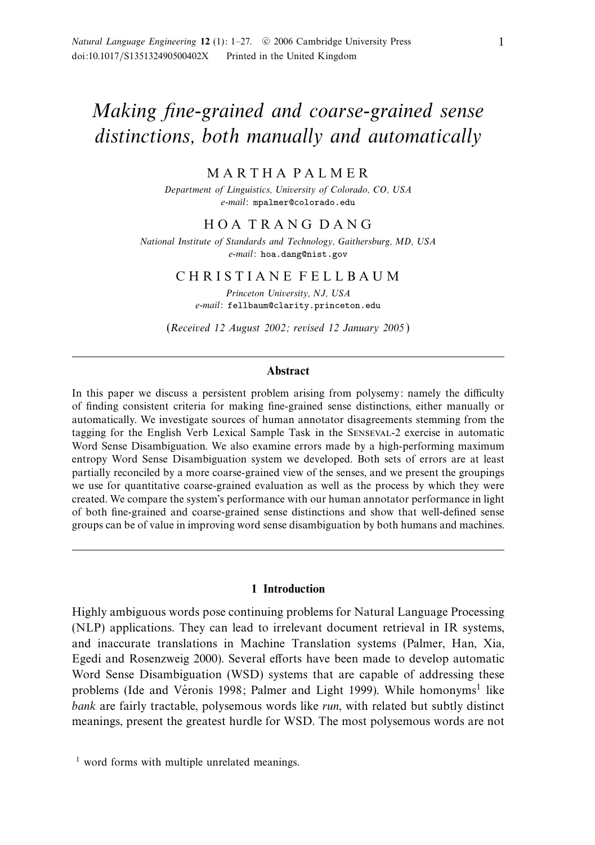# Making fine-grained and coarse-grained sense distinctions, both manually and automatically

MARTHA PALMER

Department of Linguistics, University of Colorado, CO, USA e-mail: mpalmer@colorado.edu

## HOA TRANG DANG

National Institute of Standards and Technology, Gaithersburg, MD, USA e-mail: hoa.dang@nist.gov

## CHRISTIANE FELLBAUM

Princeton University, NJ, USA e-mail: fellbaum@clarity.princeton.edu

(Received 12 August 2002; revised 12 January 2005 )

#### **Abstract**

In this paper we discuss a persistent problem arising from polysemy: namely the difficulty of finding consistent criteria for making fine-grained sense distinctions, either manually or automatically. We investigate sources of human annotator disagreements stemming from the tagging for the English Verb Lexical Sample Task in the Senseval-2 exercise in automatic Word Sense Disambiguation. We also examine errors made by a high-performing maximum entropy Word Sense Disambiguation system we developed. Both sets of errors are at least partially reconciled by a more coarse-grained view of the senses, and we present the groupings we use for quantitative coarse-grained evaluation as well as the process by which they were created. We compare the system's performance with our human annotator performance in light of both fine-grained and coarse-grained sense distinctions and show that well-defined sense groups can be of value in improving word sense disambiguation by both humans and machines.

#### **1 Introduction**

Highly ambiguous words pose continuing problems for Natural Language Processing (NLP) applications. They can lead to irrelevant document retrieval in IR systems, and inaccurate translations in Machine Translation systems (Palmer, Han, Xia, Egedi and Rosenzweig 2000). Several efforts have been made to develop automatic Word Sense Disambiguation (WSD) systems that are capable of addressing these problems (Ide and Véronis 1998; Palmer and Light 1999). While homonyms<sup>1</sup> like bank are fairly tractable, polysemous words like run, with related but subtly distinct meanings, present the greatest hurdle for WSD. The most polysemous words are not

<sup>&</sup>lt;sup>1</sup> word forms with multiple unrelated meanings.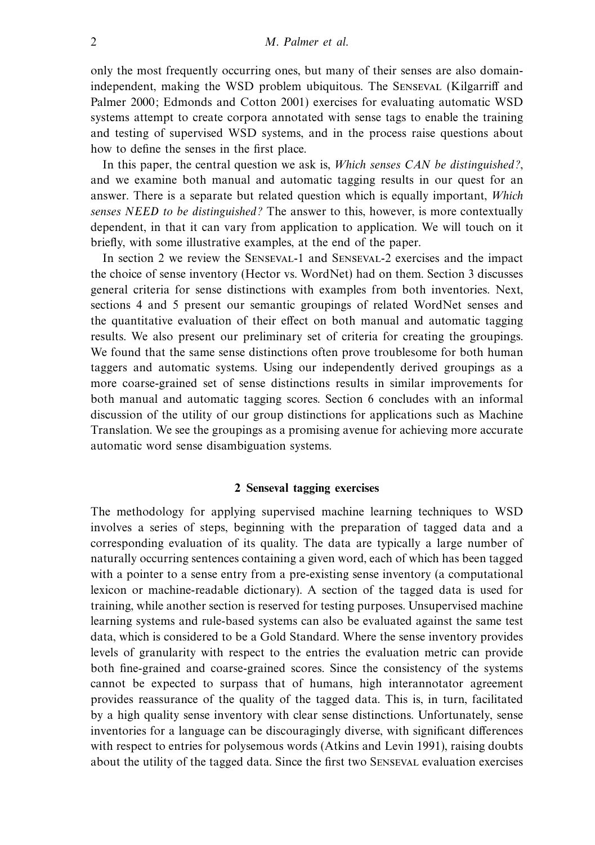only the most frequently occurring ones, but many of their senses are also domainindependent, making the WSD problem ubiquitous. The Senseval (Kilgarriff and Palmer 2000; Edmonds and Cotton 2001) exercises for evaluating automatic WSD systems attempt to create corpora annotated with sense tags to enable the training and testing of supervised WSD systems, and in the process raise questions about how to define the senses in the first place.

In this paper, the central question we ask is, Which senses CAN be distinguished?, and we examine both manual and automatic tagging results in our quest for an answer. There is a separate but related question which is equally important, Which senses NEED to be distinguished? The answer to this, however, is more contextually dependent, in that it can vary from application to application. We will touch on it briefly, with some illustrative examples, at the end of the paper.

In section 2 we review the Senseval-1 and Senseval-2 exercises and the impact the choice of sense inventory (Hector vs. WordNet) had on them. Section 3 discusses general criteria for sense distinctions with examples from both inventories. Next, sections 4 and 5 present our semantic groupings of related WordNet senses and the quantitative evaluation of their effect on both manual and automatic tagging results. We also present our preliminary set of criteria for creating the groupings. We found that the same sense distinctions often prove troublesome for both human taggers and automatic systems. Using our independently derived groupings as a more coarse-grained set of sense distinctions results in similar improvements for both manual and automatic tagging scores. Section 6 concludes with an informal discussion of the utility of our group distinctions for applications such as Machine Translation. We see the groupings as a promising avenue for achieving more accurate automatic word sense disambiguation systems.

## **2 Senseval tagging exercises**

The methodology for applying supervised machine learning techniques to WSD involves a series of steps, beginning with the preparation of tagged data and a corresponding evaluation of its quality. The data are typically a large number of naturally occurring sentences containing a given word, each of which has been tagged with a pointer to a sense entry from a pre-existing sense inventory (a computational lexicon or machine-readable dictionary). A section of the tagged data is used for training, while another section is reserved for testing purposes. Unsupervised machine learning systems and rule-based systems can also be evaluated against the same test data, which is considered to be a Gold Standard. Where the sense inventory provides levels of granularity with respect to the entries the evaluation metric can provide both fine-grained and coarse-grained scores. Since the consistency of the systems cannot be expected to surpass that of humans, high interannotator agreement provides reassurance of the quality of the tagged data. This is, in turn, facilitated by a high quality sense inventory with clear sense distinctions. Unfortunately, sense inventories for a language can be discouragingly diverse, with significant differences with respect to entries for polysemous words (Atkins and Levin 1991), raising doubts about the utility of the tagged data. Since the first two Senseval evaluation exercises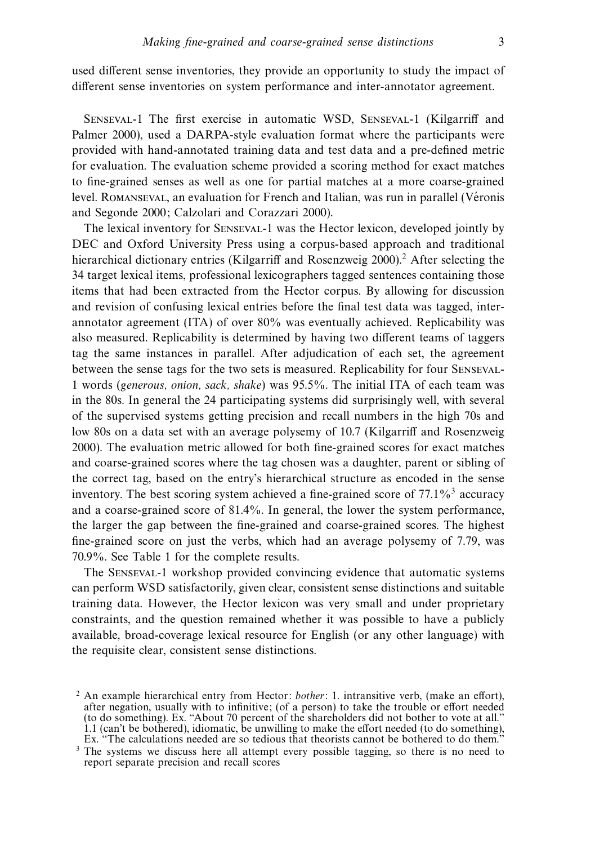used different sense inventories, they provide an opportunity to study the impact of different sense inventories on system performance and inter-annotator agreement.

Senseval-1 The first exercise in automatic WSD, Senseval-1 (Kilgarriff and Palmer 2000), used a DARPA-style evaluation format where the participants were provided with hand-annotated training data and test data and a pre-defined metric for evaluation. The evaluation scheme provided a scoring method for exact matches to fine-grained senses as well as one for partial matches at a more coarse-grained level. ROMANSEVAL, an evaluation for French and Italian, was run in parallel (Véronis and Segonde 2000; Calzolari and Corazzari 2000).

The lexical inventory for Senseval-1 was the Hector lexicon, developed jointly by DEC and Oxford University Press using a corpus-based approach and traditional hierarchical dictionary entries (Kilgarriff and Rosenzweig 2000).<sup>2</sup> After selecting the 34 target lexical items, professional lexicographers tagged sentences containing those items that had been extracted from the Hector corpus. By allowing for discussion and revision of confusing lexical entries before the final test data was tagged, interannotator agreement (ITA) of over 80% was eventually achieved. Replicability was also measured. Replicability is determined by having two different teams of taggers tag the same instances in parallel. After adjudication of each set, the agreement between the sense tags for the two sets is measured. Replicability for four Senseval-1 words (generous, onion, sack, shake) was 95.5%. The initial ITA of each team was in the 80s. In general the 24 participating systems did surprisingly well, with several of the supervised systems getting precision and recall numbers in the high 70s and low 80s on a data set with an average polysemy of 10.7 (Kilgarriff and Rosenzweig 2000). The evaluation metric allowed for both fine-grained scores for exact matches and coarse-grained scores where the tag chosen was a daughter, parent or sibling of the correct tag, based on the entry's hierarchical structure as encoded in the sense inventory. The best scoring system achieved a fine-grained score of  $77.1\%$ <sup>3</sup> accuracy and a coarse-grained score of 81.4%. In general, the lower the system performance, the larger the gap between the fine-grained and coarse-grained scores. The highest fine-grained score on just the verbs, which had an average polysemy of 7.79, was 70.9%. See Table 1 for the complete results.

The Senseval-1 workshop provided convincing evidence that automatic systems can perform WSD satisfactorily, given clear, consistent sense distinctions and suitable training data. However, the Hector lexicon was very small and under proprietary constraints, and the question remained whether it was possible to have a publicly available, broad-coverage lexical resource for English (or any other language) with the requisite clear, consistent sense distinctions.

 $2$  An example hierarchical entry from Hector: bother: 1. intransitive verb, (make an effort), after negation, usually with to infinitive; (of a person) to take the trouble or effort needed (to do something). Ex. "About 70 percent of the shareholders did not bother to vote at all." 1.1 (can't be bothered), idiomatic, be unwilling to make the effort needed (to do something), Ex. "The calculations needed are so tedious that theorists cannot be bothered to do them."

<sup>&</sup>lt;sup>3</sup> The systems we discuss here all attempt every possible tagging, so there is no need to report separate precision and recall scores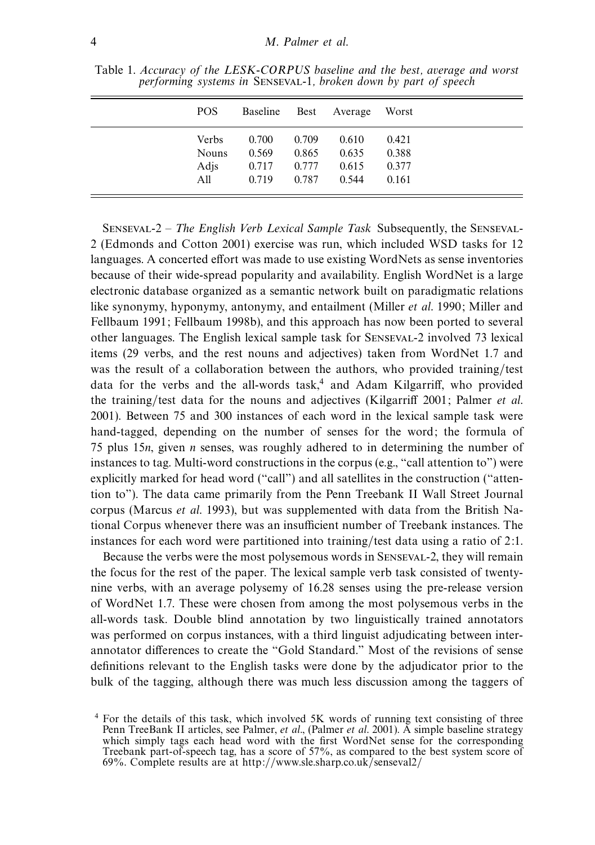| POS.         | Baseline |       | Best Average | Worst |  |
|--------------|----------|-------|--------------|-------|--|
| Verbs        | 0.700    | 0.709 | 0.610        | 0.421 |  |
| <b>Nouns</b> | 0.569    | 0.865 | 0.635        | 0.388 |  |
| Adjs         | 0.717    | 0.777 | 0.615        | 0.377 |  |
| All          | 0.719    | 0.787 | 0.544        | 0.161 |  |
|              |          |       |              |       |  |

Table 1. Accuracy of the LESK-CORPUS baseline and the best, average and worst performing systems in Senseval-1, broken down by part of speech

Senseval-2 – The English Verb Lexical Sample Task Subsequently, the Senseval-2 (Edmonds and Cotton 2001) exercise was run, which included WSD tasks for 12 languages. A concerted effort was made to use existing WordNets as sense inventories because of their wide-spread popularity and availability. English WordNet is a large electronic database organized as a semantic network built on paradigmatic relations like synonymy, hyponymy, antonymy, and entailment (Miller et al. 1990; Miller and Fellbaum 1991; Fellbaum 1998b), and this approach has now been ported to several other languages. The English lexical sample task for Senseval-2 involved 73 lexical items (29 verbs, and the rest nouns and adjectives) taken from WordNet 1.7 and was the result of a collaboration between the authors, who provided training/test data for the verbs and the all-words task,<sup>4</sup> and Adam Kilgarriff, who provided the training/test data for the nouns and adjectives (Kilgarriff 2001; Palmer et al. 2001). Between 75 and 300 instances of each word in the lexical sample task were hand-tagged, depending on the number of senses for the word; the formula of 75 plus 15n, given n senses, was roughly adhered to in determining the number of instances to tag. Multi-word constructions in the corpus (e.g., "call attention to") were explicitly marked for head word ("call") and all satellites in the construction ("attention to"). The data came primarily from the Penn Treebank II Wall Street Journal corpus (Marcus et al. 1993), but was supplemented with data from the British National Corpus whenever there was an insufficient number of Treebank instances. The instances for each word were partitioned into training/test data using a ratio of 2:1.

Because the verbs were the most polysemous words in Senseval-2, they will remain the focus for the rest of the paper. The lexical sample verb task consisted of twentynine verbs, with an average polysemy of 16.28 senses using the pre-release version of WordNet 1.7. These were chosen from among the most polysemous verbs in the all-words task. Double blind annotation by two linguistically trained annotators was performed on corpus instances, with a third linguist adjudicating between interannotator differences to create the "Gold Standard." Most of the revisions of sense definitions relevant to the English tasks were done by the adjudicator prior to the bulk of the tagging, although there was much less discussion among the taggers of

<sup>4</sup> For the details of this task, which involved 5K words of running text consisting of three Penn TreeBank II articles, see Palmer, et al., (Palmer et al. 2001). A simple baseline strategy which simply tags each head word with the first WordNet sense for the corresponding Treebank part-of-speech tag, has a score of 57%, as compared to the best system score of 69%. Complete results are at http://www.sle.sharp.co.uk/senseval2/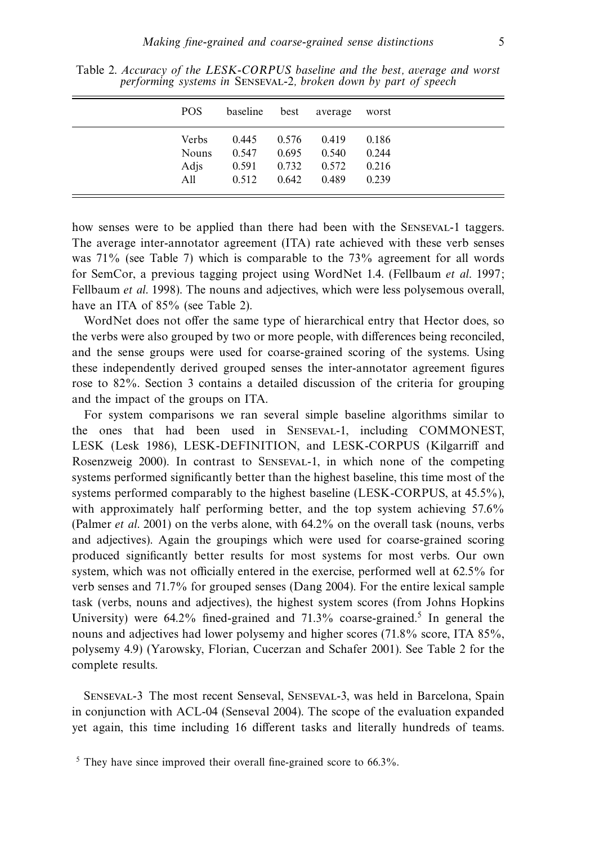| POS.         | baseline | best  | average | worst |
|--------------|----------|-------|---------|-------|
| Verbs:       | 0.445    | 0.576 | 0.419   | 0.186 |
| <b>Nouns</b> | 0.547    | 0.695 | 0.540   | 0.244 |
| Adis         | 0.591    | 0.732 | 0.572   | 0.216 |
| All          | 0.512    | 0.642 | 0.489   | 0.239 |

Table 2. Accuracy of the LESK-CORPUS baseline and the best, average and worst performing systems in SENSEVAL-2, broken down by part of speech

how senses were to be applied than there had been with the Senseval-1 taggers. The average inter-annotator agreement (ITA) rate achieved with these verb senses was  $71\%$  (see Table 7) which is comparable to the  $73\%$  agreement for all words for SemCor, a previous tagging project using WordNet 1.4. (Fellbaum et al. 1997; Fellbaum et al. 1998). The nouns and adjectives, which were less polysemous overall, have an ITA of 85% (see Table 2).

WordNet does not offer the same type of hierarchical entry that Hector does, so the verbs were also grouped by two or more people, with differences being reconciled, and the sense groups were used for coarse-grained scoring of the systems. Using these independently derived grouped senses the inter-annotator agreement figures rose to 82%. Section 3 contains a detailed discussion of the criteria for grouping and the impact of the groups on ITA.

For system comparisons we ran several simple baseline algorithms similar to the ones that had been used in Senseval-1, including COMMONEST, LESK (Lesk 1986), LESK-DEFINITION, and LESK-CORPUS (Kilgarriff and Rosenzweig 2000). In contrast to Senseval-1, in which none of the competing systems performed significantly better than the highest baseline, this time most of the systems performed comparably to the highest baseline (LESK-CORPUS, at 45.5%), with approximately half performing better, and the top system achieving 57.6% (Palmer et al. 2001) on the verbs alone, with 64.2% on the overall task (nouns, verbs and adjectives). Again the groupings which were used for coarse-grained scoring produced significantly better results for most systems for most verbs. Our own system, which was not officially entered in the exercise, performed well at 62.5% for verb senses and 71.7% for grouped senses (Dang 2004). For the entire lexical sample task (verbs, nouns and adjectives), the highest system scores (from Johns Hopkins University) were  $64.2\%$  fined-grained and  $71.3\%$  coarse-grained.<sup>5</sup> In general the nouns and adjectives had lower polysemy and higher scores (71.8% score, ITA 85%, polysemy 4.9) (Yarowsky, Florian, Cucerzan and Schafer 2001). See Table 2 for the complete results.

Senseval-3 The most recent Senseval, Senseval-3, was held in Barcelona, Spain in conjunction with ACL-04 (Senseval 2004). The scope of the evaluation expanded yet again, this time including 16 different tasks and literally hundreds of teams.

 $5$  They have since improved their overall fine-grained score to 66.3%.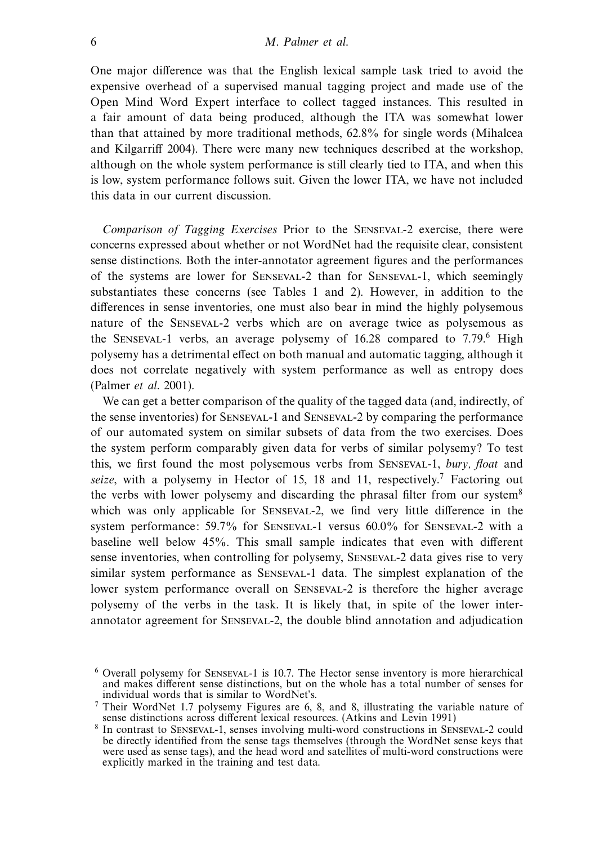One major difference was that the English lexical sample task tried to avoid the expensive overhead of a supervised manual tagging project and made use of the Open Mind Word Expert interface to collect tagged instances. This resulted in a fair amount of data being produced, although the ITA was somewhat lower than that attained by more traditional methods, 62.8% for single words (Mihalcea and Kilgarriff 2004). There were many new techniques described at the workshop, although on the whole system performance is still clearly tied to ITA, and when this is low, system performance follows suit. Given the lower ITA, we have not included this data in our current discussion.

Comparison of Tagging Exercises Prior to the Senseval-2 exercise, there were concerns expressed about whether or not WordNet had the requisite clear, consistent sense distinctions. Both the inter-annotator agreement figures and the performances of the systems are lower for Senseval-2 than for Senseval-1, which seemingly substantiates these concerns (see Tables 1 and 2). However, in addition to the differences in sense inventories, one must also bear in mind the highly polysemous nature of the Senseval-2 verbs which are on average twice as polysemous as the SENSEVAL-1 verbs, an average polysemy of  $16.28$  compared to  $7.79<sup>6</sup>$  High polysemy has a detrimental effect on both manual and automatic tagging, although it does not correlate negatively with system performance as well as entropy does (Palmer et al. 2001).

We can get a better comparison of the quality of the tagged data (and, indirectly, of the sense inventories) for Senseval-1 and Senseval-2 by comparing the performance of our automated system on similar subsets of data from the two exercises. Does the system perform comparably given data for verbs of similar polysemy? To test this, we first found the most polysemous verbs from SENSEVAL-1, bury, float and seize, with a polysemy in Hector of 15, 18 and 11, respectively.<sup>7</sup> Factoring out the verbs with lower polysemy and discarding the phrasal filter from our system<sup>8</sup> which was only applicable for Senseval-2, we find very little difference in the system performance: 59.7% for Senseval-1 versus 60.0% for Senseval-2 with a baseline well below 45%. This small sample indicates that even with different sense inventories, when controlling for polysemy, Senseval-2 data gives rise to very similar system performance as Senseval-1 data. The simplest explanation of the lower system performance overall on Senseval-2 is therefore the higher average polysemy of the verbs in the task. It is likely that, in spite of the lower interannotator agreement for Senseval-2, the double blind annotation and adjudication

<sup>6</sup> Overall polysemy for Senseval-1 is 10.7. The Hector sense inventory is more hierarchical and makes different sense distinctions, but on the whole has a total number of senses for individual words that is similar to WordNet's.

 $7$  Their WordNet 1.7 polysemy Figures are 6, 8, and 8, illustrating the variable nature of sense distinctions across different lexical resources. (Atkins and Levin 1991)

<sup>8</sup> In contrast to Senseval-1, senses involving multi-word constructions in Senseval-2 could be directly identified from the sense tags themselves (through the WordNet sense keys that were used as sense tags), and the head word and satellites of multi-word constructions were explicitly marked in the training and test data.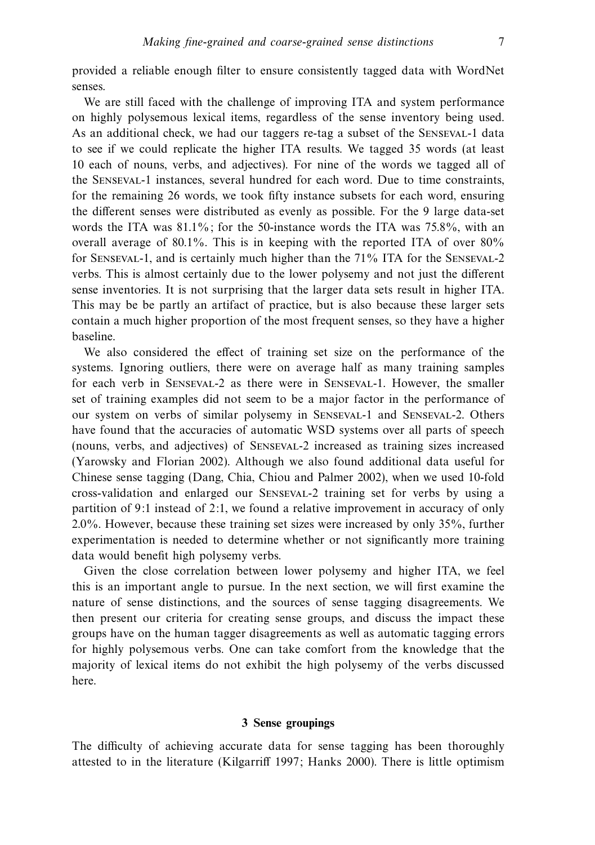provided a reliable enough filter to ensure consistently tagged data with WordNet senses.

We are still faced with the challenge of improving ITA and system performance on highly polysemous lexical items, regardless of the sense inventory being used. As an additional check, we had our taggers re-tag a subset of the Senseval-1 data to see if we could replicate the higher ITA results. We tagged 35 words (at least 10 each of nouns, verbs, and adjectives). For nine of the words we tagged all of the Senseval-1 instances, several hundred for each word. Due to time constraints, for the remaining 26 words, we took fifty instance subsets for each word, ensuring the different senses were distributed as evenly as possible. For the 9 large data-set words the ITA was  $81.1\%$ ; for the 50-instance words the ITA was  $75.8\%$ , with an overall average of 80.1%. This is in keeping with the reported ITA of over 80% for Senseval-1, and is certainly much higher than the 71% ITA for the Senseval-2 verbs. This is almost certainly due to the lower polysemy and not just the different sense inventories. It is not surprising that the larger data sets result in higher ITA. This may be be partly an artifact of practice, but is also because these larger sets contain a much higher proportion of the most frequent senses, so they have a higher baseline.

We also considered the effect of training set size on the performance of the systems. Ignoring outliers, there were on average half as many training samples for each verb in Senseval-2 as there were in Senseval-1. However, the smaller set of training examples did not seem to be a major factor in the performance of our system on verbs of similar polysemy in Senseval-1 and Senseval-2. Others have found that the accuracies of automatic WSD systems over all parts of speech (nouns, verbs, and adjectives) of Senseval-2 increased as training sizes increased (Yarowsky and Florian 2002). Although we also found additional data useful for Chinese sense tagging (Dang, Chia, Chiou and Palmer 2002), when we used 10-fold cross-validation and enlarged our Senseval-2 training set for verbs by using a partition of 9:1 instead of 2:1, we found a relative improvement in accuracy of only 2.0%. However, because these training set sizes were increased by only 35%, further experimentation is needed to determine whether or not significantly more training data would benefit high polysemy verbs.

Given the close correlation between lower polysemy and higher ITA, we feel this is an important angle to pursue. In the next section, we will first examine the nature of sense distinctions, and the sources of sense tagging disagreements. We then present our criteria for creating sense groups, and discuss the impact these groups have on the human tagger disagreements as well as automatic tagging errors for highly polysemous verbs. One can take comfort from the knowledge that the majority of lexical items do not exhibit the high polysemy of the verbs discussed here.

#### **3 Sense groupings**

The difficulty of achieving accurate data for sense tagging has been thoroughly attested to in the literature (Kilgarriff 1997; Hanks 2000). There is little optimism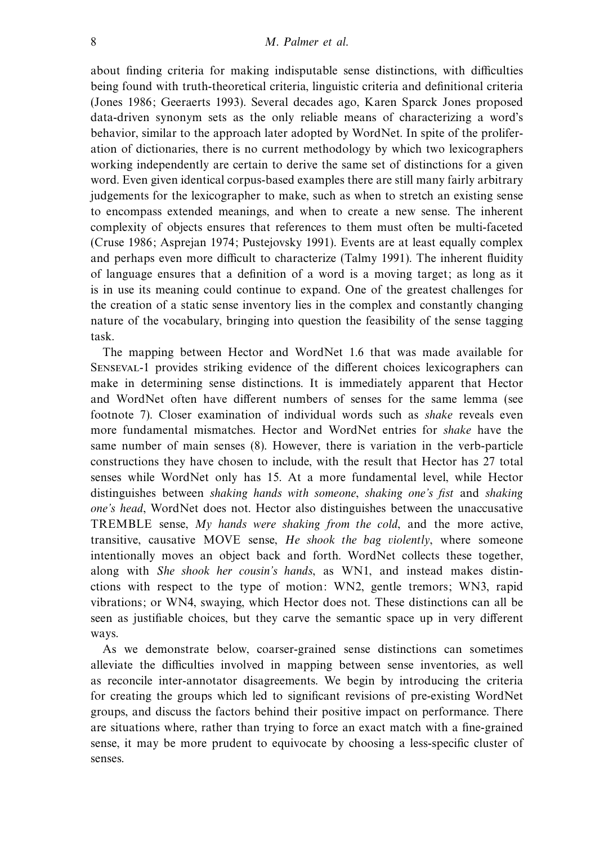about finding criteria for making indisputable sense distinctions, with difficulties being found with truth-theoretical criteria, linguistic criteria and definitional criteria (Jones 1986; Geeraerts 1993). Several decades ago, Karen Sparck Jones proposed data-driven synonym sets as the only reliable means of characterizing a word's behavior, similar to the approach later adopted by WordNet. In spite of the proliferation of dictionaries, there is no current methodology by which two lexicographers working independently are certain to derive the same set of distinctions for a given word. Even given identical corpus-based examples there are still many fairly arbitrary judgements for the lexicographer to make, such as when to stretch an existing sense to encompass extended meanings, and when to create a new sense. The inherent complexity of objects ensures that references to them must often be multi-faceted (Cruse 1986; Asprejan 1974; Pustejovsky 1991). Events are at least equally complex and perhaps even more difficult to characterize (Talmy 1991). The inherent fluidity of language ensures that a definition of a word is a moving target; as long as it is in use its meaning could continue to expand. One of the greatest challenges for the creation of a static sense inventory lies in the complex and constantly changing nature of the vocabulary, bringing into question the feasibility of the sense tagging task.

The mapping between Hector and WordNet 1.6 that was made available for Senseval-1 provides striking evidence of the different choices lexicographers can make in determining sense distinctions. It is immediately apparent that Hector and WordNet often have different numbers of senses for the same lemma (see footnote 7). Closer examination of individual words such as shake reveals even more fundamental mismatches. Hector and WordNet entries for shake have the same number of main senses (8). However, there is variation in the verb-particle constructions they have chosen to include, with the result that Hector has 27 total senses while WordNet only has 15. At a more fundamental level, while Hector distinguishes between shaking hands with someone, shaking one's fist and shaking one's head, WordNet does not. Hector also distinguishes between the unaccusative TREMBLE sense, My hands were shaking from the cold, and the more active, transitive, causative MOVE sense, He shook the bag violently, where someone intentionally moves an object back and forth. WordNet collects these together, along with She shook her cousin's hands, as WN1, and instead makes distinctions with respect to the type of motion: WN2, gentle tremors; WN3, rapid vibrations; or WN4, swaying, which Hector does not. These distinctions can all be seen as justifiable choices, but they carve the semantic space up in very different ways.

As we demonstrate below, coarser-grained sense distinctions can sometimes alleviate the difficulties involved in mapping between sense inventories, as well as reconcile inter-annotator disagreements. We begin by introducing the criteria for creating the groups which led to significant revisions of pre-existing WordNet groups, and discuss the factors behind their positive impact on performance. There are situations where, rather than trying to force an exact match with a fine-grained sense, it may be more prudent to equivocate by choosing a less-specific cluster of senses.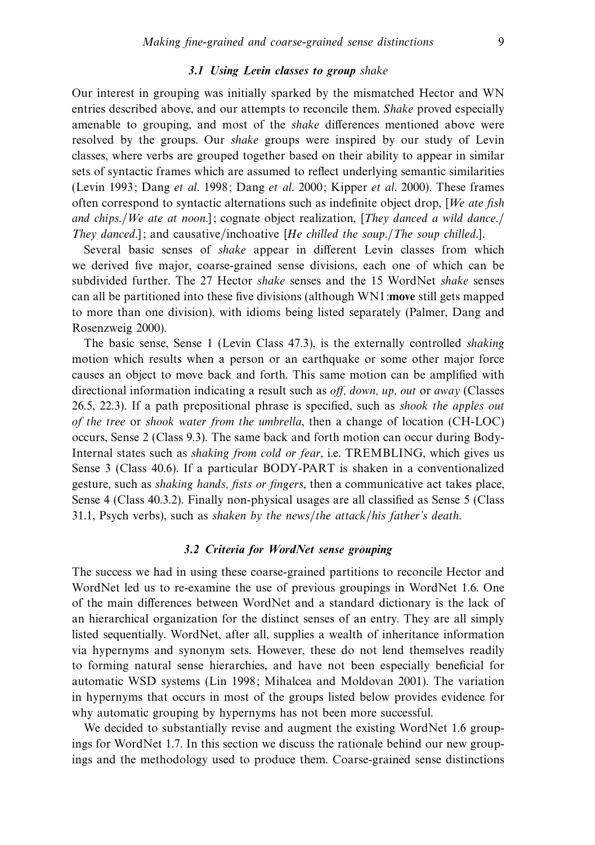## *3.1 Using Levin classes to group* shake

Our interest in grouping was initially sparked by the mismatched Hector and WN entries described above, and our attempts to reconcile them. Shake proved especially amenable to grouping, and most of the shake differences mentioned above were resolved by the groups. Our shake groups were inspired by our study of Levin classes, where verbs are grouped together based on their ability to appear in similar sets of syntactic frames which are assumed to reflect underlying semantic similarities (Levin 1993; Dang et al. 1998; Dang et al. 2000; Kipper et al. 2000). These frames often correspond to syntactic alternations such as indefinite object drop,  $[We$  ate fish and chips./We ate at noon.]; cognate object realization, [They danced a wild dance./ They danced.]; and causative/inchoative [He chilled the soup./The soup chilled.].

Several basic senses of shake appear in different Levin classes from which we derived five major, coarse-grained sense divisions, each one of which can be subdivided further. The 27 Hector shake senses and the 15 WordNet shake senses can all be partitioned into these five divisions (although WN1:**move** still gets mapped to more than one division), with idioms being listed separately (Palmer, Dang and Rosenzweig 2000).

The basic sense, Sense 1 (Levin Class 47.3), is the externally controlled shaking motion which results when a person or an earthquake or some other major force causes an object to move back and forth. This same motion can be amplified with directional information indicating a result such as off, down, up, out or away (Classes 26.5, 22.3). If a path prepositional phrase is specified, such as shook the apples out of the tree or shook water from the umbrella, then a change of location (CH-LOC) occurs, Sense 2 (Class 9.3). The same back and forth motion can occur during Body-Internal states such as *shaking from cold or fear*, i.e. TREMBLING, which gives us Sense 3 (Class 40.6). If a particular BODY-PART is shaken in a conventionalized gesture, such as shaking hands, fists or fingers, then a communicative act takes place, Sense 4 (Class 40.3.2). Finally non-physical usages are all classified as Sense 5 (Class 31.1, Psych verbs), such as shaken by the news/the attack/his father's death.

## *3.2 Criteria for WordNet sense grouping*

The success we had in using these coarse-grained partitions to reconcile Hector and WordNet led us to re-examine the use of previous groupings in WordNet 1.6. One of the main differences between WordNet and a standard dictionary is the lack of an hierarchical organization for the distinct senses of an entry. They are all simply listed sequentially. WordNet, after all, supplies a wealth of inheritance information via hypernyms and synonym sets. However, these do not lend themselves readily to forming natural sense hierarchies, and have not been especially beneficial for automatic WSD systems (Lin 1998; Mihalcea and Moldovan 2001). The variation in hypernyms that occurs in most of the groups listed below provides evidence for why automatic grouping by hypernyms has not been more successful.

We decided to substantially revise and augment the existing WordNet 1.6 groupings for WordNet 1.7. In this section we discuss the rationale behind our new groupings and the methodology used to produce them. Coarse-grained sense distinctions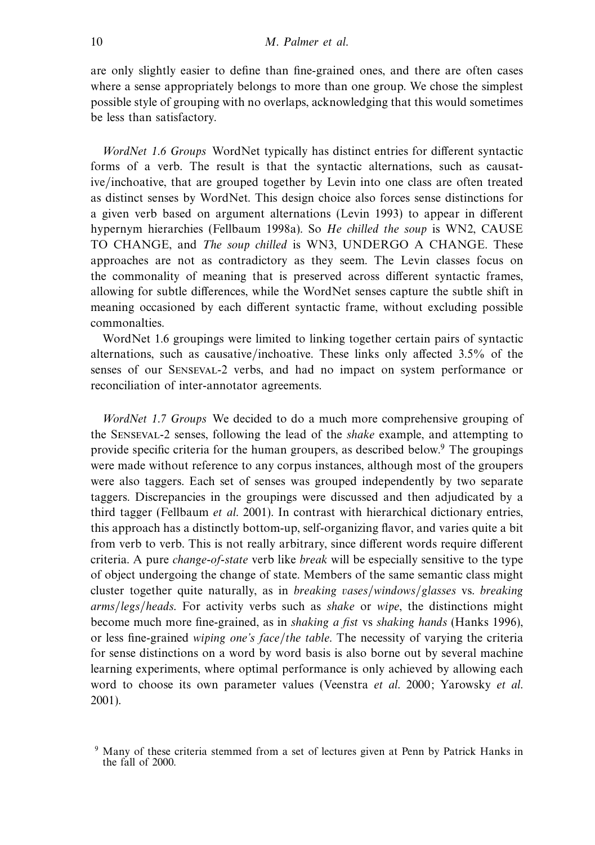are only slightly easier to define than fine-grained ones, and there are often cases where a sense appropriately belongs to more than one group. We chose the simplest possible style of grouping with no overlaps, acknowledging that this would sometimes be less than satisfactory.

WordNet 1.6 Groups WordNet typically has distinct entries for different syntactic forms of a verb. The result is that the syntactic alternations, such as causative/inchoative, that are grouped together by Levin into one class are often treated as distinct senses by WordNet. This design choice also forces sense distinctions for a given verb based on argument alternations (Levin 1993) to appear in different hypernym hierarchies (Fellbaum 1998a). So He chilled the soup is WN2, CAUSE TO CHANGE, and The soup chilled is WN3, UNDERGO A CHANGE. These approaches are not as contradictory as they seem. The Levin classes focus on the commonality of meaning that is preserved across different syntactic frames, allowing for subtle differences, while the WordNet senses capture the subtle shift in meaning occasioned by each different syntactic frame, without excluding possible commonalties.

WordNet 1.6 groupings were limited to linking together certain pairs of syntactic alternations, such as causative/inchoative. These links only affected 3.5% of the senses of our Senseval-2 verbs, and had no impact on system performance or reconciliation of inter-annotator agreements.

WordNet 1.7 Groups We decided to do a much more comprehensive grouping of the Senseval-2 senses, following the lead of the shake example, and attempting to provide specific criteria for the human groupers, as described below.9 The groupings were made without reference to any corpus instances, although most of the groupers were also taggers. Each set of senses was grouped independently by two separate taggers. Discrepancies in the groupings were discussed and then adjudicated by a third tagger (Fellbaum et al. 2001). In contrast with hierarchical dictionary entries, this approach has a distinctly bottom-up, self-organizing flavor, and varies quite a bit from verb to verb. This is not really arbitrary, since different words require different criteria. A pure *change-of-state* verb like *break* will be especially sensitive to the type of object undergoing the change of state. Members of the same semantic class might cluster together quite naturally, as in breaking vases/windows/glasses vs. breaking arms/legs/heads. For activity verbs such as shake or wipe, the distinctions might become much more fine-grained, as in shaking a fist vs shaking hands (Hanks 1996), or less fine-grained wiping one's face/the table. The necessity of varying the criteria for sense distinctions on a word by word basis is also borne out by several machine learning experiments, where optimal performance is only achieved by allowing each word to choose its own parameter values (Veenstra et al. 2000; Yarowsky et al. 2001).

<sup>9</sup> Many of these criteria stemmed from a set of lectures given at Penn by Patrick Hanks in the fall of 2000.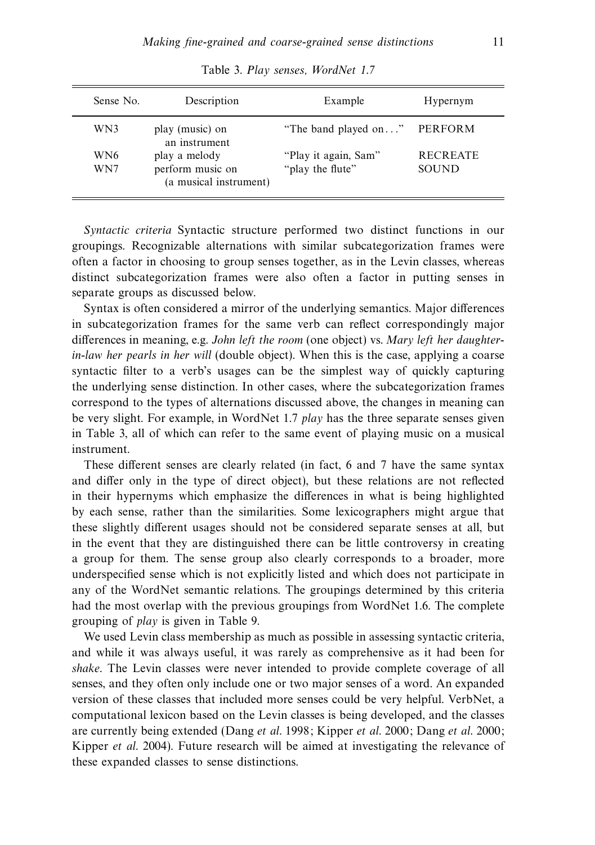| Sense No. | Description                                | Example              | Hypernym        |
|-----------|--------------------------------------------|----------------------|-----------------|
| WN3       | play (music) on<br>an instrument           | "The band played on" | PERFORM         |
| WN6       | play a melody                              | "Play it again, Sam" | <b>RECREATE</b> |
| WN7       | perform music on<br>(a musical instrument) | "play the flute"     | SOUND           |

Table 3. Play senses, WordNet 1.7

Syntactic criteria Syntactic structure performed two distinct functions in our groupings. Recognizable alternations with similar subcategorization frames were often a factor in choosing to group senses together, as in the Levin classes, whereas distinct subcategorization frames were also often a factor in putting senses in separate groups as discussed below.

Syntax is often considered a mirror of the underlying semantics. Major differences in subcategorization frames for the same verb can reflect correspondingly major differences in meaning, e.g. John left the room (one object) vs. Mary left her daughterin-law her pearls in her will (double object). When this is the case, applying a coarse syntactic filter to a verb's usages can be the simplest way of quickly capturing the underlying sense distinction. In other cases, where the subcategorization frames correspond to the types of alternations discussed above, the changes in meaning can be very slight. For example, in WordNet 1.7 play has the three separate senses given in Table 3, all of which can refer to the same event of playing music on a musical instrument.

These different senses are clearly related (in fact, 6 and 7 have the same syntax and differ only in the type of direct object), but these relations are not reflected in their hypernyms which emphasize the differences in what is being highlighted by each sense, rather than the similarities. Some lexicographers might argue that these slightly different usages should not be considered separate senses at all, but in the event that they are distinguished there can be little controversy in creating a group for them. The sense group also clearly corresponds to a broader, more underspecified sense which is not explicitly listed and which does not participate in any of the WordNet semantic relations. The groupings determined by this criteria had the most overlap with the previous groupings from WordNet 1.6. The complete grouping of play is given in Table 9.

We used Levin class membership as much as possible in assessing syntactic criteria, and while it was always useful, it was rarely as comprehensive as it had been for shake. The Levin classes were never intended to provide complete coverage of all senses, and they often only include one or two major senses of a word. An expanded version of these classes that included more senses could be very helpful. VerbNet, a computational lexicon based on the Levin classes is being developed, and the classes are currently being extended (Dang et al. 1998; Kipper et al. 2000; Dang et al. 2000; Kipper et al. 2004). Future research will be aimed at investigating the relevance of these expanded classes to sense distinctions.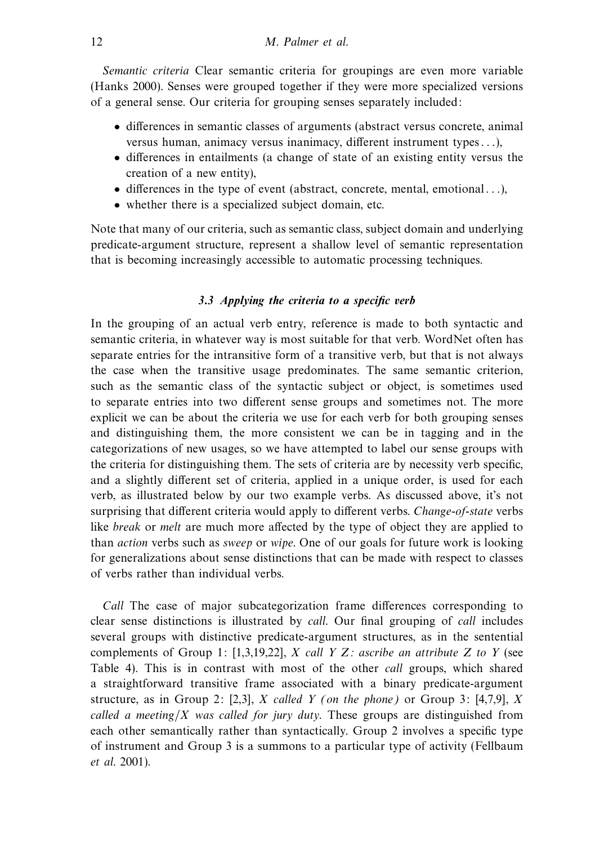Semantic criteria Clear semantic criteria for groupings are even more variable (Hanks 2000). Senses were grouped together if they were more specialized versions of a general sense. Our criteria for grouping senses separately included:

- differences in semantic classes of arguments (abstract versus concrete, animal versus human, animacy versus inanimacy, different instrument types . . .),
- differences in entailments (a change of state of an existing entity versus the creation of a new entity),
- differences in the type of event (abstract, concrete, mental, emotional . . .),
- whether there is a specialized subject domain, etc.

Note that many of our criteria, such as semantic class, subject domain and underlying predicate-argument structure, represent a shallow level of semantic representation that is becoming increasingly accessible to automatic processing techniques.

## *3.3 Applying the criteria to a specific verb*

In the grouping of an actual verb entry, reference is made to both syntactic and semantic criteria, in whatever way is most suitable for that verb. WordNet often has separate entries for the intransitive form of a transitive verb, but that is not always the case when the transitive usage predominates. The same semantic criterion, such as the semantic class of the syntactic subject or object, is sometimes used to separate entries into two different sense groups and sometimes not. The more explicit we can be about the criteria we use for each verb for both grouping senses and distinguishing them, the more consistent we can be in tagging and in the categorizations of new usages, so we have attempted to label our sense groups with the criteria for distinguishing them. The sets of criteria are by necessity verb specific, and a slightly different set of criteria, applied in a unique order, is used for each verb, as illustrated below by our two example verbs. As discussed above, it's not surprising that different criteria would apply to different verbs. Change-of-state verbs like break or melt are much more affected by the type of object they are applied to than action verbs such as sweep or wipe. One of our goals for future work is looking for generalizations about sense distinctions that can be made with respect to classes of verbs rather than individual verbs.

Call The case of major subcategorization frame differences corresponding to clear sense distinctions is illustrated by call. Our final grouping of call includes several groups with distinctive predicate-argument structures, as in the sentential complements of Group 1: [1,3,19,22], X call Y Z: ascribe an attribute Z to Y (see Table 4). This is in contrast with most of the other call groups, which shared a straightforward transitive frame associated with a binary predicate-argument structure, as in Group 2: [2,3], X called Y (on the phone) or Group 3: [4,7,9], X called a meeting/X was called for jury duty. These groups are distinguished from each other semantically rather than syntactically. Group 2 involves a specific type of instrument and Group 3 is a summons to a particular type of activity (Fellbaum et al. 2001).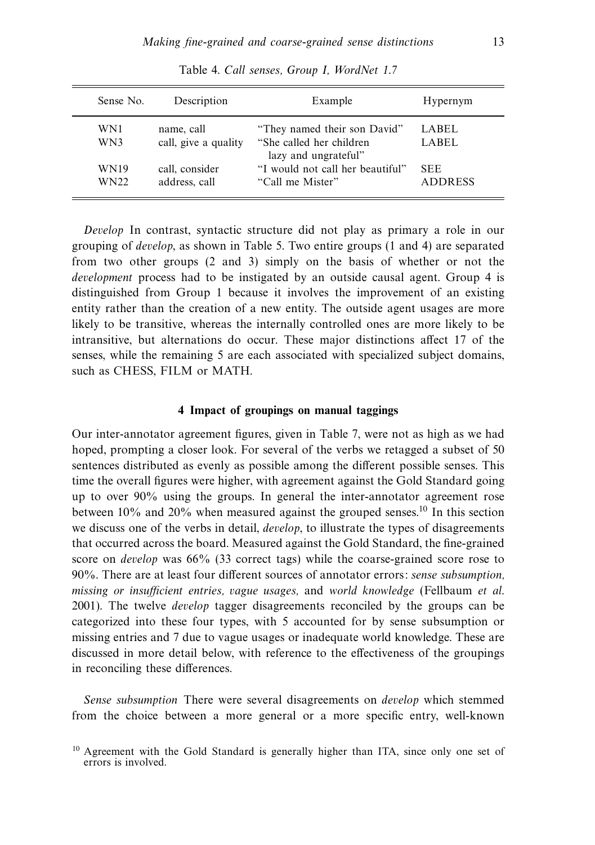| Sense No.           | Description                        | Example                                                                           | Hypernym                     |
|---------------------|------------------------------------|-----------------------------------------------------------------------------------|------------------------------|
| WN1<br>WN3          | name, call<br>call, give a quality | "They named their son David"<br>"She called her children"<br>lazy and ungrateful" | LABEL<br>LABEL               |
| <b>WN19</b><br>WN22 | call, consider<br>address, call    | "I would not call her beautiful"<br>"Call me Mister"                              | <b>SEE</b><br><b>ADDRESS</b> |

Table 4. Call senses, Group I, WordNet 1.7

Develop In contrast, syntactic structure did not play as primary a role in our grouping of develop, as shown in Table 5. Two entire groups (1 and 4) are separated from two other groups (2 and 3) simply on the basis of whether or not the development process had to be instigated by an outside causal agent. Group 4 is distinguished from Group 1 because it involves the improvement of an existing entity rather than the creation of a new entity. The outside agent usages are more likely to be transitive, whereas the internally controlled ones are more likely to be intransitive, but alternations do occur. These major distinctions affect 17 of the senses, while the remaining 5 are each associated with specialized subject domains, such as CHESS, FILM or MATH.

### **4 Impact of groupings on manual taggings**

Our inter-annotator agreement figures, given in Table 7, were not as high as we had hoped, prompting a closer look. For several of the verbs we retagged a subset of 50 sentences distributed as evenly as possible among the different possible senses. This time the overall figures were higher, with agreement against the Gold Standard going up to over 90% using the groups. In general the inter-annotator agreement rose between 10% and 20% when measured against the grouped senses.10 In this section we discuss one of the verbs in detail, *develop*, to illustrate the types of disagreements that occurred across the board. Measured against the Gold Standard, the fine-grained score on develop was 66% (33 correct tags) while the coarse-grained score rose to 90%. There are at least four different sources of annotator errors: sense subsumption, missing or insufficient entries, vague usages, and world knowledge (Fellbaum et al. 2001). The twelve develop tagger disagreements reconciled by the groups can be categorized into these four types, with 5 accounted for by sense subsumption or missing entries and 7 due to vague usages or inadequate world knowledge. These are discussed in more detail below, with reference to the effectiveness of the groupings in reconciling these differences.

Sense subsumption There were several disagreements on develop which stemmed from the choice between a more general or a more specific entry, well-known

<sup>&</sup>lt;sup>10</sup> Agreement with the Gold Standard is generally higher than ITA, since only one set of errors is involved.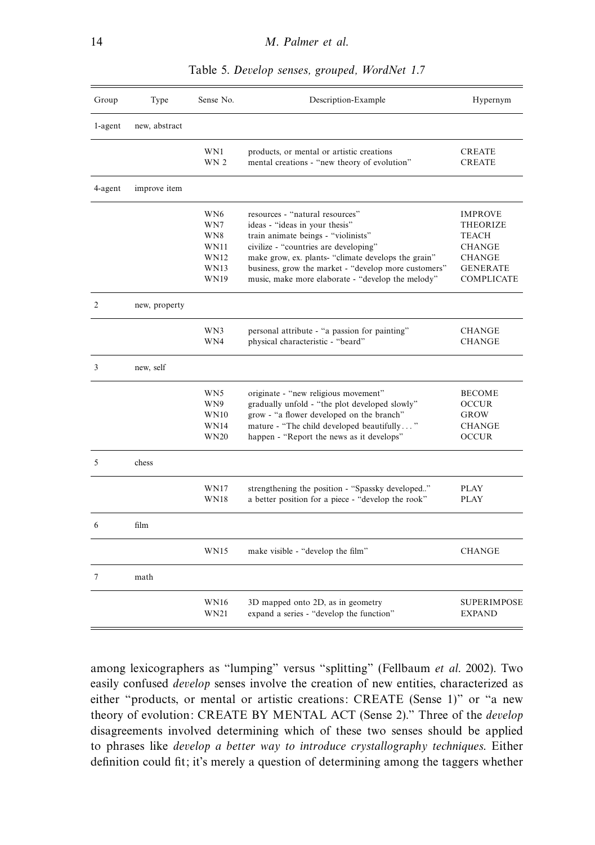| Group   | Type          | Sense No.                                                                          | Description-Example                                                                                                                                                                                                                                                                                                   | Hypernym                                                                                                             |
|---------|---------------|------------------------------------------------------------------------------------|-----------------------------------------------------------------------------------------------------------------------------------------------------------------------------------------------------------------------------------------------------------------------------------------------------------------------|----------------------------------------------------------------------------------------------------------------------|
| 1-agent | new, abstract |                                                                                    |                                                                                                                                                                                                                                                                                                                       |                                                                                                                      |
|         |               | WN1<br>WN 2                                                                        | products, or mental or artistic creations<br>mental creations - "new theory of evolution"                                                                                                                                                                                                                             | <b>CREATE</b><br><b>CREATE</b>                                                                                       |
| 4-agent | improve item  |                                                                                    |                                                                                                                                                                                                                                                                                                                       |                                                                                                                      |
|         |               | WN <sub>6</sub><br>WN7<br>WN8<br><b>WN11</b><br><b>WN12</b><br><b>WN13</b><br>WN19 | resources - "natural resources"<br>ideas - "ideas in your thesis"<br>train animate beings - "violinists"<br>civilize - "countries are developing"<br>make grow, ex. plants- "climate develops the grain"<br>business, grow the market - "develop more customers"<br>music, make more elaborate - "develop the melody" | <b>IMPROVE</b><br><b>THEORIZE</b><br><b>TEACH</b><br><b>CHANGE</b><br><b>CHANGE</b><br><b>GENERATE</b><br>COMPLICATE |
| 2       | new, property |                                                                                    |                                                                                                                                                                                                                                                                                                                       |                                                                                                                      |
|         |               | WN3<br>WN4                                                                         | personal attribute - "a passion for painting"<br>physical characteristic - "beard"                                                                                                                                                                                                                                    | CHANGE<br><b>CHANGE</b>                                                                                              |
| 3       | new, self     |                                                                                    |                                                                                                                                                                                                                                                                                                                       |                                                                                                                      |
|         |               | WN5<br>WN9<br><b>WN10</b><br><b>WN14</b><br><b>WN20</b>                            | originate - "new religious movement"<br>gradually unfold - "the plot developed slowly"<br>grow - "a flower developed on the branch"<br>mature - "The child developed beautifully"<br>happen - "Report the news as it develops"                                                                                        | <b>BECOME</b><br><b>OCCUR</b><br>GROW<br><b>CHANGE</b><br><b>OCCUR</b>                                               |
| 5       | chess         |                                                                                    |                                                                                                                                                                                                                                                                                                                       |                                                                                                                      |
|         |               | WN17<br>WN18                                                                       | strengthening the position - "Spassky developed"<br>a better position for a piece - "develop the rook"                                                                                                                                                                                                                | <b>PLAY</b><br><b>PLAY</b>                                                                                           |
| 6       | film          |                                                                                    |                                                                                                                                                                                                                                                                                                                       |                                                                                                                      |
|         |               | <b>WN15</b>                                                                        | make visible - "develop the film"                                                                                                                                                                                                                                                                                     | <b>CHANGE</b>                                                                                                        |
| $\tau$  | math          |                                                                                    |                                                                                                                                                                                                                                                                                                                       |                                                                                                                      |
|         |               | <b>WN16</b><br>WN21                                                                | 3D mapped onto 2D, as in geometry<br>expand a series - "develop the function"                                                                                                                                                                                                                                         | <b>SUPERIMPOSE</b><br><b>EXPAND</b>                                                                                  |

Table 5. Develop senses, grouped, WordNet 1.7

among lexicographers as "lumping" versus "splitting" (Fellbaum et al. 2002). Two easily confused develop senses involve the creation of new entities, characterized as either "products, or mental or artistic creations: CREATE (Sense 1)" or "a new theory of evolution: CREATE BY MENTAL ACT (Sense 2)." Three of the develop disagreements involved determining which of these two senses should be applied to phrases like develop a better way to introduce crystallography techniques. Either definition could fit; it's merely a question of determining among the taggers whether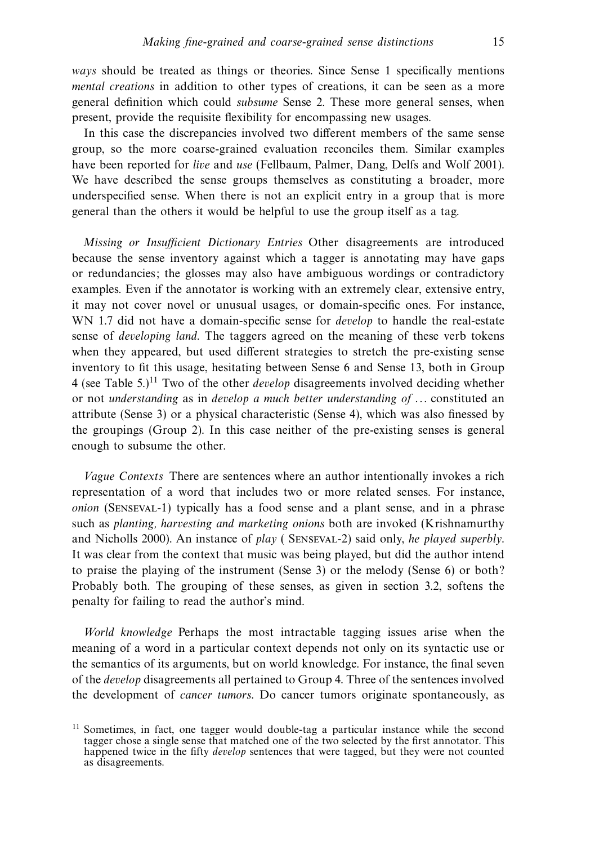ways should be treated as things or theories. Since Sense 1 specifically mentions mental creations in addition to other types of creations, it can be seen as a more general definition which could subsume Sense 2. These more general senses, when present, provide the requisite flexibility for encompassing new usages.

In this case the discrepancies involved two different members of the same sense group, so the more coarse-grained evaluation reconciles them. Similar examples have been reported for *live* and use (Fellbaum, Palmer, Dang, Delfs and Wolf 2001). We have described the sense groups themselves as constituting a broader, more underspecified sense. When there is not an explicit entry in a group that is more general than the others it would be helpful to use the group itself as a tag.

Missing or Insufficient Dictionary Entries Other disagreements are introduced because the sense inventory against which a tagger is annotating may have gaps or redundancies; the glosses may also have ambiguous wordings or contradictory examples. Even if the annotator is working with an extremely clear, extensive entry, it may not cover novel or unusual usages, or domain-specific ones. For instance, WN 1.7 did not have a domain-specific sense for *develop* to handle the real-estate sense of developing land. The taggers agreed on the meaning of these verb tokens when they appeared, but used different strategies to stretch the pre-existing sense inventory to fit this usage, hesitating between Sense 6 and Sense 13, both in Group 4 (see Table  $5.1^{11}$  Two of the other *develop* disagreements involved deciding whether or not understanding as in develop a much better understanding of  $\dots$  constituted an attribute (Sense 3) or a physical characteristic (Sense 4), which was also finessed by the groupings (Group 2). In this case neither of the pre-existing senses is general enough to subsume the other.

Vague Contexts There are sentences where an author intentionally invokes a rich representation of a word that includes two or more related senses. For instance, onion (Senseval-1) typically has a food sense and a plant sense, and in a phrase such as planting, harvesting and marketing onions both are invoked (Krishnamurthy and Nicholls 2000). An instance of play ( Senseval-2) said only, he played superbly. It was clear from the context that music was being played, but did the author intend to praise the playing of the instrument (Sense 3) or the melody (Sense 6) or both? Probably both. The grouping of these senses, as given in section 3.2, softens the penalty for failing to read the author's mind.

World knowledge Perhaps the most intractable tagging issues arise when the meaning of a word in a particular context depends not only on its syntactic use or the semantics of its arguments, but on world knowledge. For instance, the final seven of the develop disagreements all pertained to Group 4. Three of the sentences involved the development of cancer tumors. Do cancer tumors originate spontaneously, as

<sup>&</sup>lt;sup>11</sup> Sometimes, in fact, one tagger would double-tag a particular instance while the second tagger chose a single sense that matched one of the two selected by the first annotator. This happened twice in the fifty develop sentences that were tagged, but they were not counted as disagreements.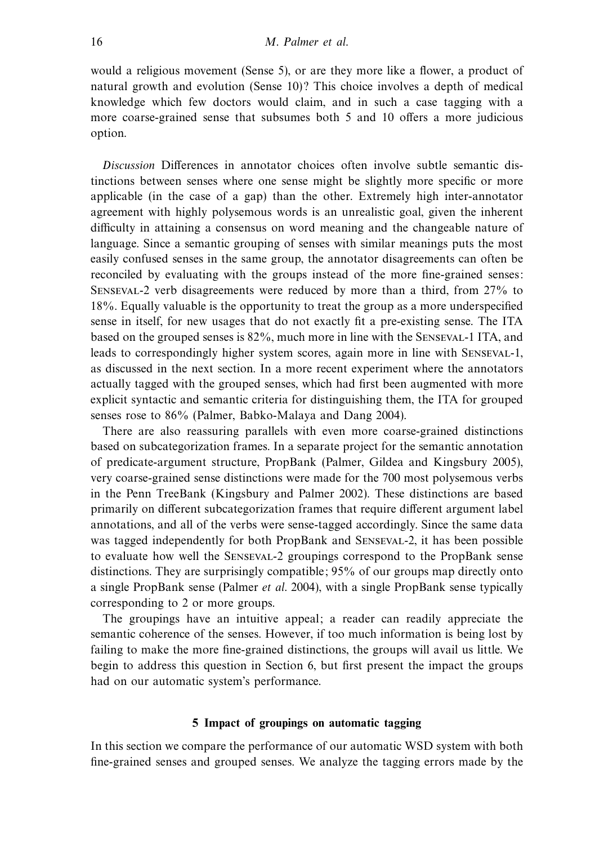would a religious movement (Sense 5), or are they more like a flower, a product of natural growth and evolution (Sense 10)? This choice involves a depth of medical knowledge which few doctors would claim, and in such a case tagging with a more coarse-grained sense that subsumes both 5 and 10 offers a more judicious option.

Discussion Differences in annotator choices often involve subtle semantic distinctions between senses where one sense might be slightly more specific or more applicable (in the case of a gap) than the other. Extremely high inter-annotator agreement with highly polysemous words is an unrealistic goal, given the inherent difficulty in attaining a consensus on word meaning and the changeable nature of language. Since a semantic grouping of senses with similar meanings puts the most easily confused senses in the same group, the annotator disagreements can often be reconciled by evaluating with the groups instead of the more fine-grained senses: Senseval-2 verb disagreements were reduced by more than a third, from 27% to 18%. Equally valuable is the opportunity to treat the group as a more underspecified sense in itself, for new usages that do not exactly fit a pre-existing sense. The ITA based on the grouped senses is 82%, much more in line with the Senseval-1 ITA, and leads to correspondingly higher system scores, again more in line with Senseval-1, as discussed in the next section. In a more recent experiment where the annotators actually tagged with the grouped senses, which had first been augmented with more explicit syntactic and semantic criteria for distinguishing them, the ITA for grouped senses rose to 86% (Palmer, Babko-Malaya and Dang 2004).

There are also reassuring parallels with even more coarse-grained distinctions based on subcategorization frames. In a separate project for the semantic annotation of predicate-argument structure, PropBank (Palmer, Gildea and Kingsbury 2005), very coarse-grained sense distinctions were made for the 700 most polysemous verbs in the Penn TreeBank (Kingsbury and Palmer 2002). These distinctions are based primarily on different subcategorization frames that require different argument label annotations, and all of the verbs were sense-tagged accordingly. Since the same data was tagged independently for both PropBank and Senseval-2, it has been possible to evaluate how well the Senseval-2 groupings correspond to the PropBank sense distinctions. They are surprisingly compatible; 95% of our groups map directly onto a single PropBank sense (Palmer et al. 2004), with a single PropBank sense typically corresponding to 2 or more groups.

The groupings have an intuitive appeal; a reader can readily appreciate the semantic coherence of the senses. However, if too much information is being lost by failing to make the more fine-grained distinctions, the groups will avail us little. We begin to address this question in Section 6, but first present the impact the groups had on our automatic system's performance.

## **5 Impact of groupings on automatic tagging**

In this section we compare the performance of our automatic WSD system with both fine-grained senses and grouped senses. We analyze the tagging errors made by the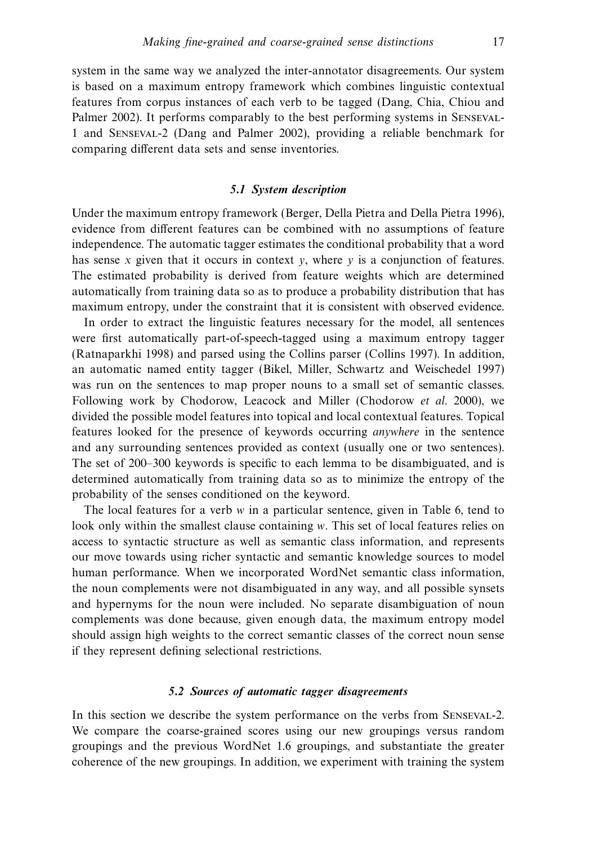system in the same way we analyzed the inter-annotator disagreements. Our system is based on a maximum entropy framework which combines linguistic contextual features from corpus instances of each verb to be tagged (Dang, Chia, Chiou and Palmer 2002). It performs comparably to the best performing systems in Senseval-1 and Senseval-2 (Dang and Palmer 2002), providing a reliable benchmark for comparing different data sets and sense inventories.

## *5.1 System description*

Under the maximum entropy framework (Berger, Della Pietra and Della Pietra 1996), evidence from different features can be combined with no assumptions of feature independence. The automatic tagger estimates the conditional probability that a word has sense x given that it occurs in context  $v$ , where  $v$  is a conjunction of features. The estimated probability is derived from feature weights which are determined automatically from training data so as to produce a probability distribution that has maximum entropy, under the constraint that it is consistent with observed evidence.

In order to extract the linguistic features necessary for the model, all sentences were first automatically part-of-speech-tagged using a maximum entropy tagger (Ratnaparkhi 1998) and parsed using the Collins parser (Collins 1997). In addition, an automatic named entity tagger (Bikel, Miller, Schwartz and Weischedel 1997) was run on the sentences to map proper nouns to a small set of semantic classes. Following work by Chodorow, Leacock and Miller (Chodorow et al. 2000), we divided the possible model features into topical and local contextual features. Topical features looked for the presence of keywords occurring anywhere in the sentence and any surrounding sentences provided as context (usually one or two sentences). The set of 200–300 keywords is specific to each lemma to be disambiguated, and is determined automatically from training data so as to minimize the entropy of the probability of the senses conditioned on the keyword.

The local features for a verb *w* in a particular sentence, given in Table 6, tend to look only within the smallest clause containing *w*. This set of local features relies on access to syntactic structure as well as semantic class information, and represents our move towards using richer syntactic and semantic knowledge sources to model human performance. When we incorporated WordNet semantic class information, the noun complements were not disambiguated in any way, and all possible synsets and hypernyms for the noun were included. No separate disambiguation of noun complements was done because, given enough data, the maximum entropy model should assign high weights to the correct semantic classes of the correct noun sense if they represent defining selectional restrictions.

## *5.2 Sources of automatic tagger disagreements*

In this section we describe the system performance on the verbs from Senseval-2. We compare the coarse-grained scores using our new groupings versus random groupings and the previous WordNet 1.6 groupings, and substantiate the greater coherence of the new groupings. In addition, we experiment with training the system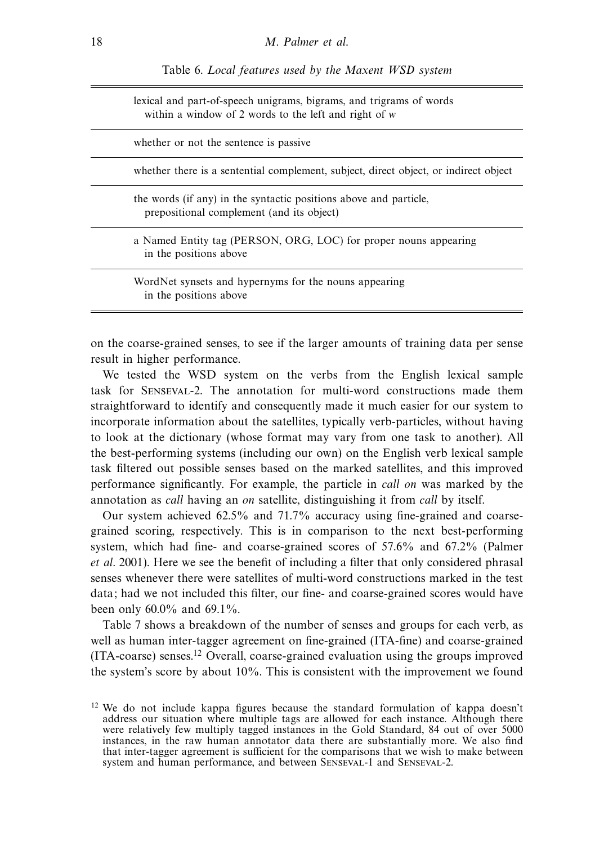Table 6. Local features used by the Maxent WSD system

lexical and part-of-speech unigrams, bigrams, and trigrams of words within a window of 2 words to the left and right of *w*

whether or not the sentence is passive

whether there is a sentential complement, subject, direct object, or indirect object

the words (if any) in the syntactic positions above and particle, prepositional complement (and its object)

a Named Entity tag (PERSON, ORG, LOC) for proper nouns appearing in the positions above

WordNet synsets and hypernyms for the nouns appearing in the positions above

on the coarse-grained senses, to see if the larger amounts of training data per sense result in higher performance.

We tested the WSD system on the verbs from the English lexical sample task for Senseval-2. The annotation for multi-word constructions made them straightforward to identify and consequently made it much easier for our system to incorporate information about the satellites, typically verb-particles, without having to look at the dictionary (whose format may vary from one task to another). All the best-performing systems (including our own) on the English verb lexical sample task filtered out possible senses based on the marked satellites, and this improved performance significantly. For example, the particle in call on was marked by the annotation as call having an on satellite, distinguishing it from call by itself.

Our system achieved 62.5% and 71.7% accuracy using fine-grained and coarsegrained scoring, respectively. This is in comparison to the next best-performing system, which had fine- and coarse-grained scores of 57.6% and 67.2% (Palmer et al. 2001). Here we see the benefit of including a filter that only considered phrasal senses whenever there were satellites of multi-word constructions marked in the test data; had we not included this filter, our fine- and coarse-grained scores would have been only 60.0% and 69.1%.

Table 7 shows a breakdown of the number of senses and groups for each verb, as well as human inter-tagger agreement on fine-grained (ITA-fine) and coarse-grained (ITA-coarse) senses.12 Overall, coarse-grained evaluation using the groups improved the system's score by about 10%. This is consistent with the improvement we found

<sup>&</sup>lt;sup>12</sup> We do not include kappa figures because the standard formulation of kappa doesn't address our situation where multiple tags are allowed for each instance. Although there were relatively few multiply tagged instances in the Gold Standard, 84 out of over 5000 instances, in the raw human annotator data there are substantially more. We also find that inter-tagger agreement is sufficient for the comparisons that we wish to make between system and human performance, and between Senseval-1 and Senseval-2.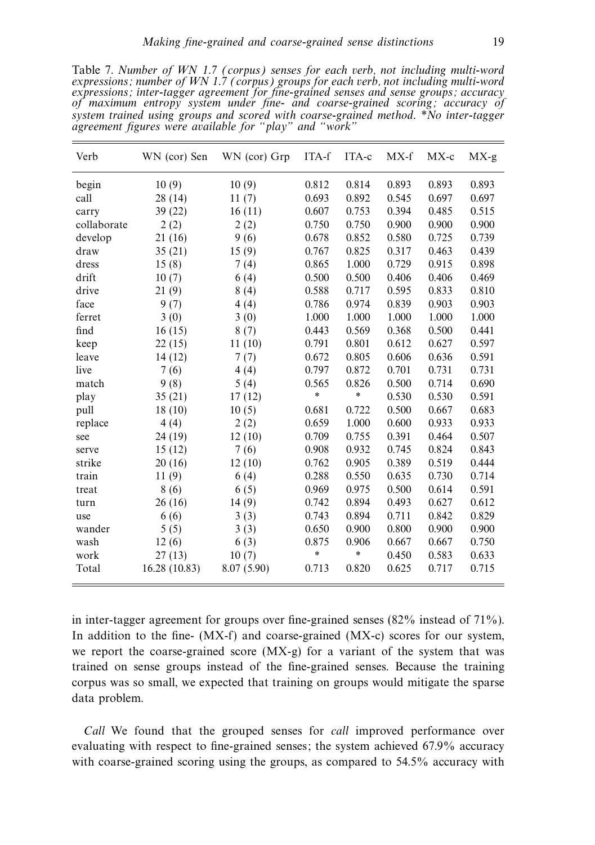Table 7. Number of WN 1.7 (corpus) senses for each verb, not including multi-word expressions; number of WN 1.7 (corpus) groups for each verb, not including multi-word expressions; inter-tagger agreement for fine-grained senses and sense groups; accuracy of maximum entropy system under fine- and coarse-grained scoring; accuracy of system trained using groups and scored with coarse-grained method. \*No inter-tagger agreement figures were available for "play" and "work"

| Verb        | WN (cor) Sen  | WN (cor) Grp | ITA-f  | ITA-c  | MX-f  | $MX-c$ | $MX-g$ |
|-------------|---------------|--------------|--------|--------|-------|--------|--------|
| begin       | 10(9)         | 10(9)        | 0.812  | 0.814  | 0.893 | 0.893  | 0.893  |
| call        | 28(14)        | 11(7)        | 0.693  | 0.892  | 0.545 | 0.697  | 0.697  |
| carry       | 39 (22)       | 16(11)       | 0.607  | 0.753  | 0.394 | 0.485  | 0.515  |
| collaborate | 2(2)          | 2(2)         | 0.750  | 0.750  | 0.900 | 0.900  | 0.900  |
| develop     | 21(16)        | 9(6)         | 0.678  | 0.852  | 0.580 | 0.725  | 0.739  |
| draw        | 35(21)        | 15(9)        | 0.767  | 0.825  | 0.317 | 0.463  | 0.439  |
| dress       | 15(8)         | 7(4)         | 0.865  | 1.000  | 0.729 | 0.915  | 0.898  |
| drift       | 10(7)         | 6(4)         | 0.500  | 0.500  | 0.406 | 0.406  | 0.469  |
| drive       | 21(9)         | 8(4)         | 0.588  | 0.717  | 0.595 | 0.833  | 0.810  |
| face        | 9(7)          | 4(4)         | 0.786  | 0.974  | 0.839 | 0.903  | 0.903  |
| ferret      | 3(0)          | 3(0)         | 1.000  | 1.000  | 1.000 | 1.000  | 1.000  |
| find        | 16(15)        | 8(7)         | 0.443  | 0.569  | 0.368 | 0.500  | 0.441  |
| keep        | 22(15)        | 11(10)       | 0.791  | 0.801  | 0.612 | 0.627  | 0.597  |
| leave       | 14(12)        | 7(7)         | 0.672  | 0.805  | 0.606 | 0.636  | 0.591  |
| live        | 7(6)          | 4(4)         | 0.797  | 0.872  | 0.701 | 0.731  | 0.731  |
| match       | 9(8)          | 5(4)         | 0.565  | 0.826  | 0.500 | 0.714  | 0.690  |
| play        | 35(21)        | 17(12)       | $\ast$ | $\ast$ | 0.530 | 0.530  | 0.591  |
| pull        | 18(10)        | 10(5)        | 0.681  | 0.722  | 0.500 | 0.667  | 0.683  |
| replace     | 4(4)          | 2(2)         | 0.659  | 1.000  | 0.600 | 0.933  | 0.933  |
| see         | 24 (19)       | 12(10)       | 0.709  | 0.755  | 0.391 | 0.464  | 0.507  |
| serve       | 15(12)        | 7(6)         | 0.908  | 0.932  | 0.745 | 0.824  | 0.843  |
| strike      | 20(16)        | 12(10)       | 0.762  | 0.905  | 0.389 | 0.519  | 0.444  |
| train       | 11(9)         | 6(4)         | 0.288  | 0.550  | 0.635 | 0.730  | 0.714  |
| treat       | 8(6)          | 6(5)         | 0.969  | 0.975  | 0.500 | 0.614  | 0.591  |
| turn        | 26(16)        | 14(9)        | 0.742  | 0.894  | 0.493 | 0.627  | 0.612  |
| use         | 6 (6)         | 3(3)         | 0.743  | 0.894  | 0.711 | 0.842  | 0.829  |
| wander      | 5(5)          | 3(3)         | 0.650  | 0.900  | 0.800 | 0.900  | 0.900  |
| wash        | 12(6)         | 6(3)         | 0.875  | 0.906  | 0.667 | 0.667  | 0.750  |
| work        | 27(13)        | 10(7)        | $\ast$ | *      | 0.450 | 0.583  | 0.633  |
| Total       | 16.28 (10.83) | 8.07(5.90)   | 0.713  | 0.820  | 0.625 | 0.717  | 0.715  |

in inter-tagger agreement for groups over fine-grained senses (82% instead of 71%). In addition to the fine- (MX-f) and coarse-grained (MX-c) scores for our system, we report the coarse-grained score (MX-g) for a variant of the system that was trained on sense groups instead of the fine-grained senses. Because the training corpus was so small, we expected that training on groups would mitigate the sparse data problem.

Call We found that the grouped senses for call improved performance over evaluating with respect to fine-grained senses; the system achieved 67.9% accuracy with coarse-grained scoring using the groups, as compared to 54.5% accuracy with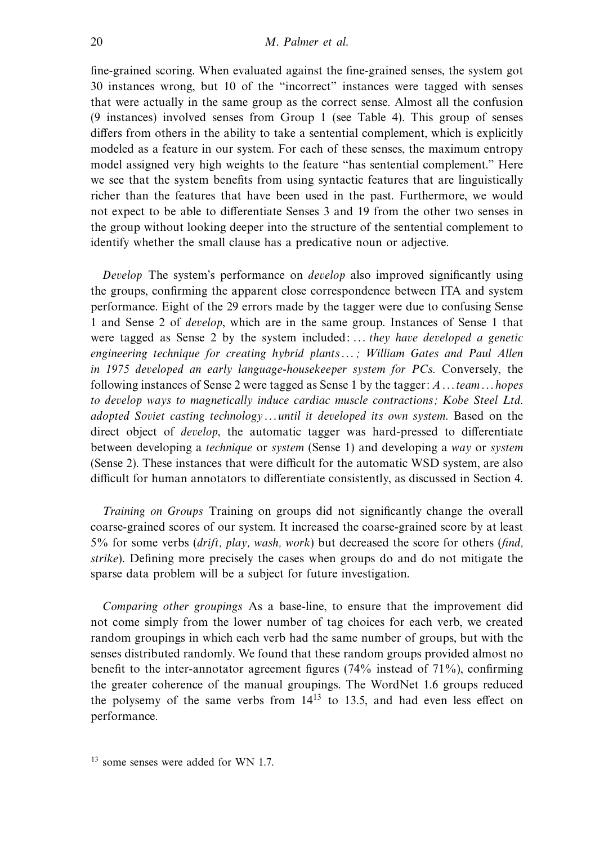fine-grained scoring. When evaluated against the fine-grained senses, the system got 30 instances wrong, but 10 of the "incorrect" instances were tagged with senses that were actually in the same group as the correct sense. Almost all the confusion (9 instances) involved senses from Group 1 (see Table 4). This group of senses differs from others in the ability to take a sentential complement, which is explicitly modeled as a feature in our system. For each of these senses, the maximum entropy model assigned very high weights to the feature "has sentential complement." Here we see that the system benefits from using syntactic features that are linguistically richer than the features that have been used in the past. Furthermore, we would not expect to be able to differentiate Senses 3 and 19 from the other two senses in the group without looking deeper into the structure of the sentential complement to identify whether the small clause has a predicative noun or adjective.

Develop The system's performance on develop also improved significantly using the groups, confirming the apparent close correspondence between ITA and system performance. Eight of the 29 errors made by the tagger were due to confusing Sense 1 and Sense 2 of develop, which are in the same group. Instances of Sense 1 that were tagged as Sense 2 by the system included: ... they have developed a genetic engineering technique for creating hybrid plants...; William Gates and Paul Allen in 1975 developed an early language-housekeeper system for PCs. Conversely, the following instances of Sense 2 were tagged as Sense 1 by the tagger:  $A \dots$  team  $\dots$  hopes to develop ways to magnetically induce cardiac muscle contractions; Kobe Steel Ltd. adopted Soviet casting technology...until it developed its own system. Based on the direct object of develop, the automatic tagger was hard-pressed to differentiate between developing a technique or system (Sense 1) and developing a way or system (Sense 2). These instances that were difficult for the automatic WSD system, are also difficult for human annotators to differentiate consistently, as discussed in Section 4.

Training on Groups Training on groups did not significantly change the overall coarse-grained scores of our system. It increased the coarse-grained score by at least  $5\%$  for some verbs (drift, play, wash, work) but decreased the score for others (find, strike). Defining more precisely the cases when groups do and do not mitigate the sparse data problem will be a subject for future investigation.

Comparing other groupings As a base-line, to ensure that the improvement did not come simply from the lower number of tag choices for each verb, we created random groupings in which each verb had the same number of groups, but with the senses distributed randomly. We found that these random groups provided almost no benefit to the inter-annotator agreement figures (74% instead of 71%), confirming the greater coherence of the manual groupings. The WordNet 1.6 groups reduced the polysemy of the same verbs from  $14^{13}$  to 13.5, and had even less effect on performance.

<sup>13</sup> some senses were added for WN 1.7.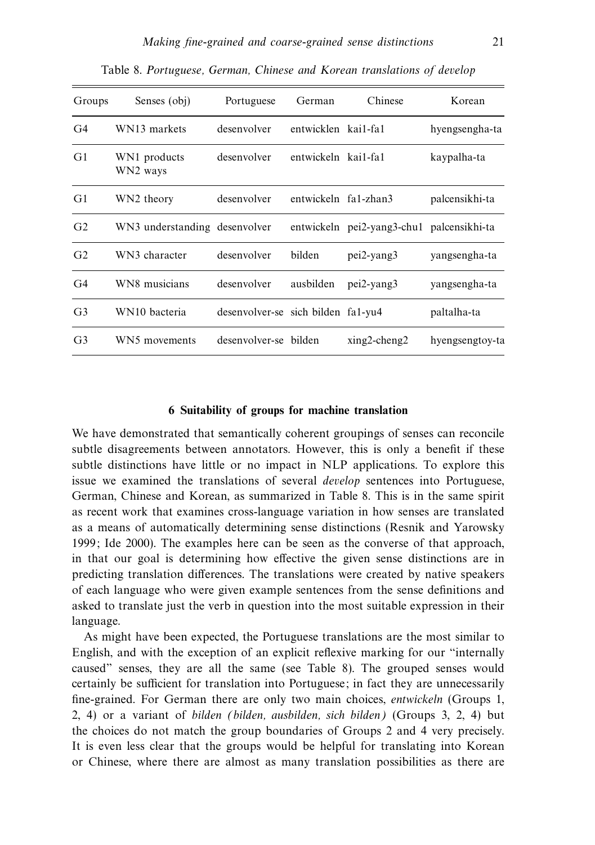| Groups         | Senses (obj)                  | Portuguese                         | German               | Chinese                                   | Korean          |
|----------------|-------------------------------|------------------------------------|----------------------|-------------------------------------------|-----------------|
| G <sub>4</sub> | WN13 markets                  | desenvolver                        | entwicklen kai1-fa1  |                                           | hyengsengha-ta  |
| G <sub>1</sub> | WN1 products<br>WN2 ways      | desenvolver                        | entwickeln kai1-fa1  |                                           | kaypalha-ta     |
| G1             | WN2 theory                    | desenvolver                        | entwickeln fa1-zhan3 |                                           | palcensikhi-ta  |
| G <sub>2</sub> | WN3 understanding desenvolver |                                    |                      | entwickeln pei2-yang3-chu1 palcensikhi-ta |                 |
| G <sub>2</sub> | WN3 character                 | desenvolver                        | bilden               | $pei2$ -yang $3$                          | yangsengha-ta   |
| G <sub>4</sub> | WN8 musicians                 | desenvolver                        |                      | ausbilden pei2-yang3                      | yangsengha-ta   |
| G <sub>3</sub> | WN10 bacteria                 | desenvolver-se sich bilden fa1-yu4 |                      |                                           | paltalha-ta     |
| G <sub>3</sub> | WN5 movements                 | desenvolver-se bilden              |                      | $xing2$ -cheng2                           | hyengsengtoy-ta |

Table 8. Portuguese, German, Chinese and Korean translations of develop

## **6 Suitability of groups for machine translation**

We have demonstrated that semantically coherent groupings of senses can reconcile subtle disagreements between annotators. However, this is only a benefit if these subtle distinctions have little or no impact in NLP applications. To explore this issue we examined the translations of several develop sentences into Portuguese, German, Chinese and Korean, as summarized in Table 8. This is in the same spirit as recent work that examines cross-language variation in how senses are translated as a means of automatically determining sense distinctions (Resnik and Yarowsky 1999; Ide 2000). The examples here can be seen as the converse of that approach, in that our goal is determining how effective the given sense distinctions are in predicting translation differences. The translations were created by native speakers of each language who were given example sentences from the sense definitions and asked to translate just the verb in question into the most suitable expression in their language.

As might have been expected, the Portuguese translations are the most similar to English, and with the exception of an explicit reflexive marking for our "internally caused" senses, they are all the same (see Table 8). The grouped senses would certainly be sufficient for translation into Portuguese; in fact they are unnecessarily fine-grained. For German there are only two main choices, entwickeln (Groups 1, 2, 4) or a variant of bilden (bilden, ausbilden, sich bilden) (Groups 3, 2, 4) but the choices do not match the group boundaries of Groups 2 and 4 very precisely. It is even less clear that the groups would be helpful for translating into Korean or Chinese, where there are almost as many translation possibilities as there are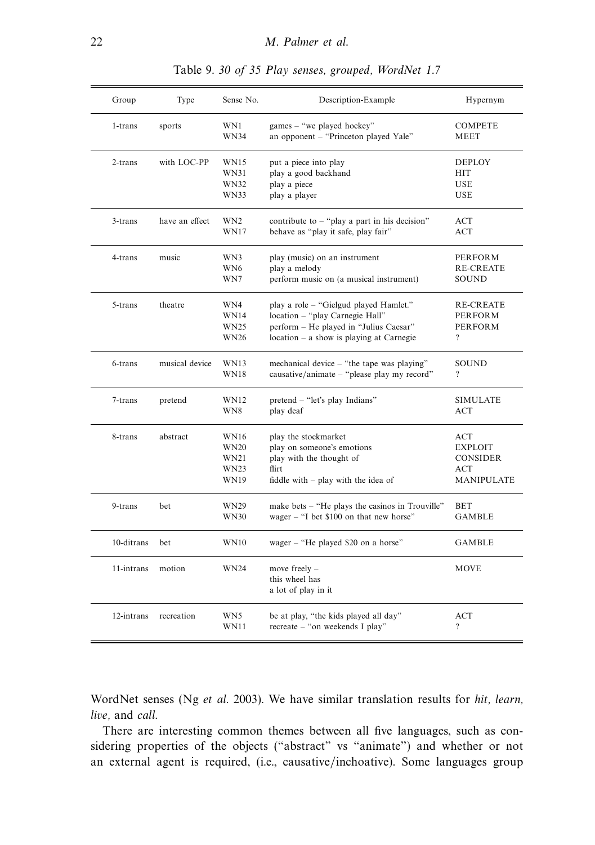| Group       | Type           | Sense No.          | Description-Example                                                 | Hypernym               |
|-------------|----------------|--------------------|---------------------------------------------------------------------|------------------------|
| 1-trans     | sports         | WN1<br><b>WN34</b> | games - "we played hockey"<br>an opponent - "Princeton played Yale" | <b>COMPETE</b><br>MEET |
|             |                |                    |                                                                     |                        |
| $2$ -trans  | with LOC-PP    | <b>WN15</b>        | put a piece into play                                               | <b>DEPLOY</b>          |
|             |                | WN31               | play a good backhand                                                | <b>HIT</b>             |
|             |                | WN32               | play a piece                                                        | <b>USE</b>             |
|             |                | WN33               | play a player                                                       | <b>USE</b>             |
| $3 -$ trans | have an effect | WN <sub>2</sub>    | contribute to $-$ "play a part in his decision"                     | ACT                    |
|             |                | WN17               | behave as "play it safe, play fair"                                 | ACT                    |
| 4-trans     | music          | WN3                | play (music) on an instrument                                       | PERFORM                |
|             |                | WN6                | play a melody                                                       | <b>RE-CREATE</b>       |
|             |                | WN7                | perform music on (a musical instrument)                             | <b>SOUND</b>           |
| 5-trans     | theatre        | WN4                | play a role - "Gielgud played Hamlet."                              | <b>RE-CREATE</b>       |
|             |                | <b>WN14</b>        | location - "play Carnegie Hall"                                     | PERFORM                |
|             |                | WN25               | perform – He played in "Julius Caesar"                              | <b>PERFORM</b>         |
|             |                | WN26               | $location - a show$ is playing at Carnegie                          | $\overline{?}$         |
| 6-trans     | musical device | WN13               | mechanical device – "the tape was playing"                          | SOUND                  |
|             |                | <b>WN18</b>        | causative/animate – "please play my record"                         | ?                      |
| 7-trans     | pretend        | WN12               | pretend – "let's play Indians"                                      | <b>SIMULATE</b>        |
|             |                | WN8                | play deaf                                                           | <b>ACT</b>             |
| 8-trans     | abstract       | WN16               | play the stockmarket                                                | ACT                    |
|             |                | <b>WN20</b>        | play on someone's emotions                                          | <b>EXPLOIT</b>         |
|             |                | WN21               | play with the thought of                                            | <b>CONSIDER</b>        |
|             |                | WN23               | flirt                                                               | ACT                    |
|             |                | WN19               | fiddle with $-$ play with the idea of                               | <b>MANIPULATE</b>      |
| 9-trans     | bet            | WN29               | make bets – "He plays the casinos in Trouville"                     | <b>BET</b>             |
|             |                | <b>WN30</b>        | wager $=$ "I bet \$100 on that new horse"                           | <b>GAMBLE</b>          |
| 10-ditrans  | bet            | <b>WN10</b>        | wager - "He played \$20 on a horse"                                 | GAMBLE                 |
|             |                |                    |                                                                     |                        |
| 11-intrans  | motion         | <b>WN24</b>        | move freely -                                                       | <b>MOVE</b>            |
|             |                |                    | this wheel has                                                      |                        |
|             |                |                    | a lot of play in it                                                 |                        |
| 12-intrans  | recreation     | WN5                | be at play, "the kids played all day"                               | ACT                    |
|             |                | WN11               | recreate – "on weekends I play"                                     | $\overline{\cdot}$     |

Table 9. 30 of 35 Play senses, grouped, WordNet 1.7

WordNet senses (Ng et al. 2003). We have similar translation results for hit, learn, live, and call.

There are interesting common themes between all five languages, such as considering properties of the objects ("abstract" vs "animate") and whether or not an external agent is required, (i.e., causative/inchoative). Some languages group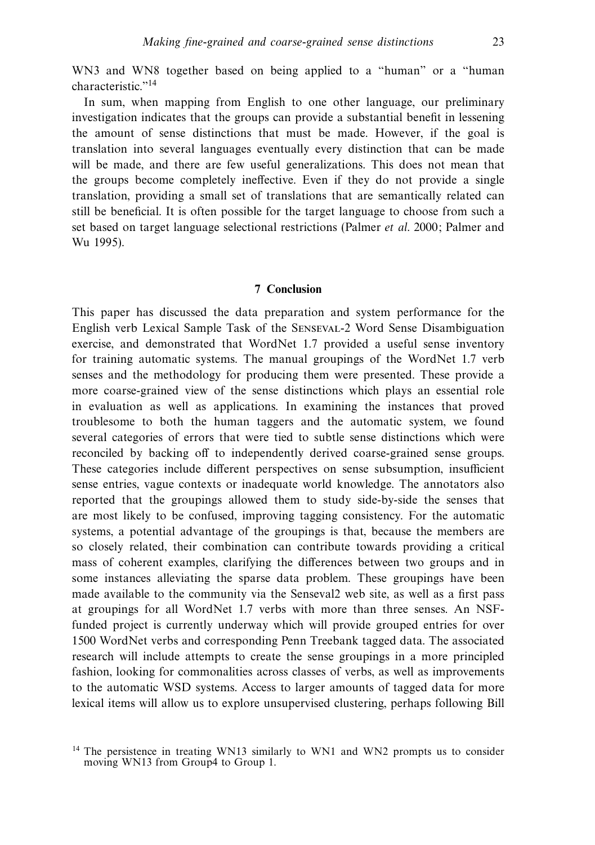WN3 and WN8 together based on being applied to a "human" or a "human" characteristic."14

In sum, when mapping from English to one other language, our preliminary investigation indicates that the groups can provide a substantial benefit in lessening the amount of sense distinctions that must be made. However, if the goal is translation into several languages eventually every distinction that can be made will be made, and there are few useful generalizations. This does not mean that the groups become completely ineffective. Even if they do not provide a single translation, providing a small set of translations that are semantically related can still be beneficial. It is often possible for the target language to choose from such a set based on target language selectional restrictions (Palmer et al. 2000; Palmer and Wu 1995).

## **7 Conclusion**

This paper has discussed the data preparation and system performance for the English verb Lexical Sample Task of the Senseval-2 Word Sense Disambiguation exercise, and demonstrated that WordNet 1.7 provided a useful sense inventory for training automatic systems. The manual groupings of the WordNet 1.7 verb senses and the methodology for producing them were presented. These provide a more coarse-grained view of the sense distinctions which plays an essential role in evaluation as well as applications. In examining the instances that proved troublesome to both the human taggers and the automatic system, we found several categories of errors that were tied to subtle sense distinctions which were reconciled by backing off to independently derived coarse-grained sense groups. These categories include different perspectives on sense subsumption, insufficient sense entries, vague contexts or inadequate world knowledge. The annotators also reported that the groupings allowed them to study side-by-side the senses that are most likely to be confused, improving tagging consistency. For the automatic systems, a potential advantage of the groupings is that, because the members are so closely related, their combination can contribute towards providing a critical mass of coherent examples, clarifying the differences between two groups and in some instances alleviating the sparse data problem. These groupings have been made available to the community via the Senseval2 web site, as well as a first pass at groupings for all WordNet 1.7 verbs with more than three senses. An NSFfunded project is currently underway which will provide grouped entries for over 1500 WordNet verbs and corresponding Penn Treebank tagged data. The associated research will include attempts to create the sense groupings in a more principled fashion, looking for commonalities across classes of verbs, as well as improvements to the automatic WSD systems. Access to larger amounts of tagged data for more lexical items will allow us to explore unsupervised clustering, perhaps following Bill

<sup>&</sup>lt;sup>14</sup> The persistence in treating WN13 similarly to WN1 and WN2 prompts us to consider moving WN13 from Group4 to Group 1.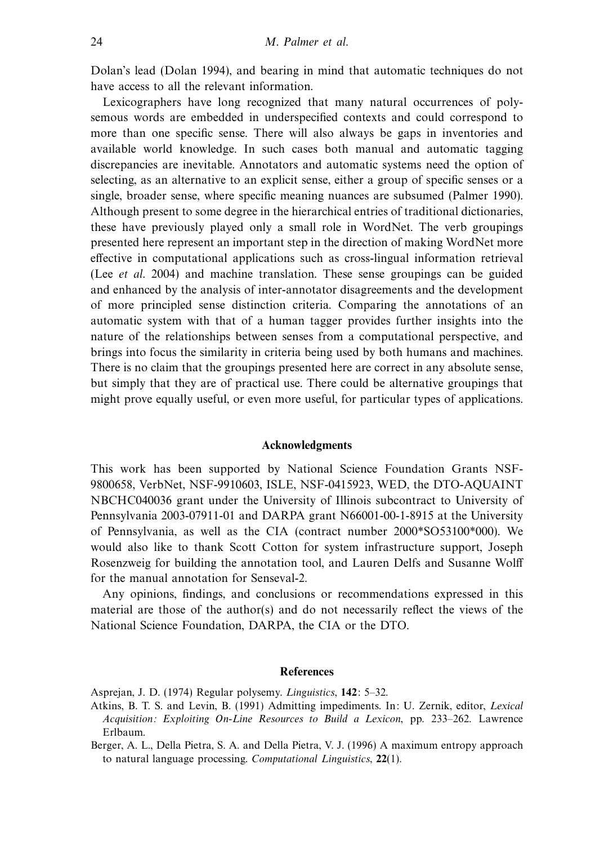Dolan's lead (Dolan 1994), and bearing in mind that automatic techniques do not have access to all the relevant information.

Lexicographers have long recognized that many natural occurrences of polysemous words are embedded in underspecified contexts and could correspond to more than one specific sense. There will also always be gaps in inventories and available world knowledge. In such cases both manual and automatic tagging discrepancies are inevitable. Annotators and automatic systems need the option of selecting, as an alternative to an explicit sense, either a group of specific senses or a single, broader sense, where specific meaning nuances are subsumed (Palmer 1990). Although present to some degree in the hierarchical entries of traditional dictionaries, these have previously played only a small role in WordNet. The verb groupings presented here represent an important step in the direction of making WordNet more effective in computational applications such as cross-lingual information retrieval (Lee et al. 2004) and machine translation. These sense groupings can be guided and enhanced by the analysis of inter-annotator disagreements and the development of more principled sense distinction criteria. Comparing the annotations of an automatic system with that of a human tagger provides further insights into the nature of the relationships between senses from a computational perspective, and brings into focus the similarity in criteria being used by both humans and machines. There is no claim that the groupings presented here are correct in any absolute sense, but simply that they are of practical use. There could be alternative groupings that might prove equally useful, or even more useful, for particular types of applications.

#### **Acknowledgments**

This work has been supported by National Science Foundation Grants NSF-9800658, VerbNet, NSF-9910603, ISLE, NSF-0415923, WED, the DTO-AQUAINT NBCHC040036 grant under the University of Illinois subcontract to University of Pennsylvania 2003-07911-01 and DARPA grant N66001-00-1-8915 at the University of Pennsylvania, as well as the CIA (contract number 2000\*SO53100\*000). We would also like to thank Scott Cotton for system infrastructure support, Joseph Rosenzweig for building the annotation tool, and Lauren Delfs and Susanne Wolff for the manual annotation for Senseval-2.

Any opinions, findings, and conclusions or recommendations expressed in this material are those of the author(s) and do not necessarily reflect the views of the National Science Foundation, DARPA, the CIA or the DTO.

## **References**

Asprejan, J. D. (1974) Regular polysemy. Linguistics, **142**: 5–32.

Atkins, B. T. S. and Levin, B. (1991) Admitting impediments. In: U. Zernik, editor, Lexical Acquisition: Exploiting On-Line Resources to Build a Lexicon, pp. 233–262. Lawrence Erlbaum.

Berger, A. L., Della Pietra, S. A. and Della Pietra, V. J. (1996) A maximum entropy approach to natural language processing. Computational Linguistics, **22**(1).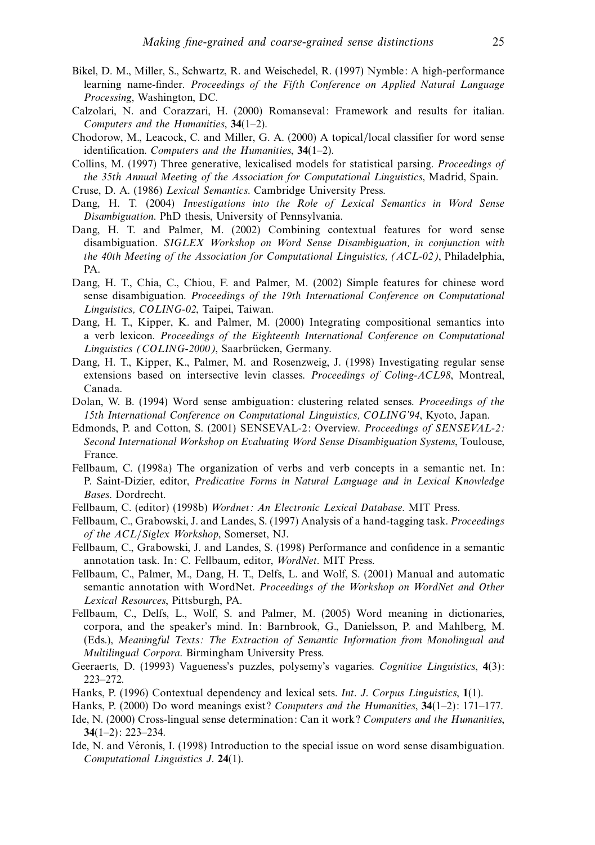- Bikel, D. M., Miller, S., Schwartz, R. and Weischedel, R. (1997) Nymble: A high-performance learning name-finder. Proceedings of the Fifth Conference on Applied Natural Language Processing, Washington, DC.
- Calzolari, N. and Corazzari, H. (2000) Romanseval: Framework and results for italian. Computers and the Humanities, **34**(1–2).
- Chodorow, M., Leacock, C. and Miller, G. A. (2000) A topical/local classifier for word sense identification. Computers and the Humanities, **34**(1–2).
- Collins, M. (1997) Three generative, lexicalised models for statistical parsing. Proceedings of the 35th Annual Meeting of the Association for Computational Linguistics, Madrid, Spain.
- Cruse, D. A. (1986) Lexical Semantics. Cambridge University Press.
- Dang, H. T. (2004) Investigations into the Role of Lexical Semantics in Word Sense Disambiguation. PhD thesis, University of Pennsylvania.
- Dang, H. T. and Palmer, M. (2002) Combining contextual features for word sense disambiguation. SIGLEX Workshop on Word Sense Disambiguation, in conjunction with the 40th Meeting of the Association for Computational Linguistics, (ACL-02), Philadelphia, PA.
- Dang, H. T., Chia, C., Chiou, F. and Palmer, M. (2002) Simple features for chinese word sense disambiguation. Proceedings of the 19th International Conference on Computational Linguistics, COLING-02, Taipei, Taiwan.
- Dang, H. T., Kipper, K. and Palmer, M. (2000) Integrating compositional semantics into a verb lexicon. Proceedings of the Eighteenth International Conference on Computational Linguistics (COLING-2000), Saarbrücken, Germany.
- Dang, H. T., Kipper, K., Palmer, M. and Rosenzweig, J. (1998) Investigating regular sense extensions based on intersective levin classes. Proceedings of Coling-ACL98, Montreal, Canada.
- Dolan, W. B. (1994) Word sense ambiguation: clustering related senses. Proceedings of the 15th International Conference on Computational Linguistics, COLING'94, Kyoto, Japan.
- Edmonds, P. and Cotton, S. (2001) SENSEVAL-2: Overview. Proceedings of SENSEVAL-2: Second International Workshop on Evaluating Word Sense Disambiguation Systems, Toulouse, France.
- Fellbaum, C. (1998a) The organization of verbs and verb concepts in a semantic net. In: P. Saint-Dizier, editor, Predicative Forms in Natural Language and in Lexical Knowledge Bases. Dordrecht.
- Fellbaum, C. (editor) (1998b) Wordnet: An Electronic Lexical Database. MIT Press.
- Fellbaum, C., Grabowski, J. and Landes, S. (1997) Analysis of a hand-tagging task. Proceedings of the ACL/Siglex Workshop, Somerset, NJ.
- Fellbaum, C., Grabowski, J. and Landes, S. (1998) Performance and confidence in a semantic annotation task. In: C. Fellbaum, editor, WordNet. MIT Press.
- Fellbaum, C., Palmer, M., Dang, H. T., Delfs, L. and Wolf, S. (2001) Manual and automatic semantic annotation with WordNet. Proceedings of the Workshop on WordNet and Other Lexical Resources, Pittsburgh, PA.
- Fellbaum, C., Delfs, L., Wolf, S. and Palmer, M. (2005) Word meaning in dictionaries, corpora, and the speaker's mind. In: Barnbrook, G., Danielsson, P. and Mahlberg, M. (Eds.), Meaningful Texts: The Extraction of Semantic Information from Monolingual and Multilingual Corpora. Birmingham University Press.
- Geeraerts, D. (19993) Vagueness's puzzles, polysemy's vagaries. Cognitive Linguistics, **4**(3): 223–272.
- Hanks, P. (1996) Contextual dependency and lexical sets. Int. J. Corpus Linguistics, **1**(1).
- Hanks, P. (2000) Do word meanings exist? Computers and the Humanities, **34**(1–2): 171–177.
- Ide, N. (2000) Cross-lingual sense determination: Can it work? Computers and the Humanities, **34**(1–2): 223–234.
- Ide, N. and Véronis, I. (1998) Introduction to the special issue on word sense disambiguation. Computational Linguistics J. **24**(1).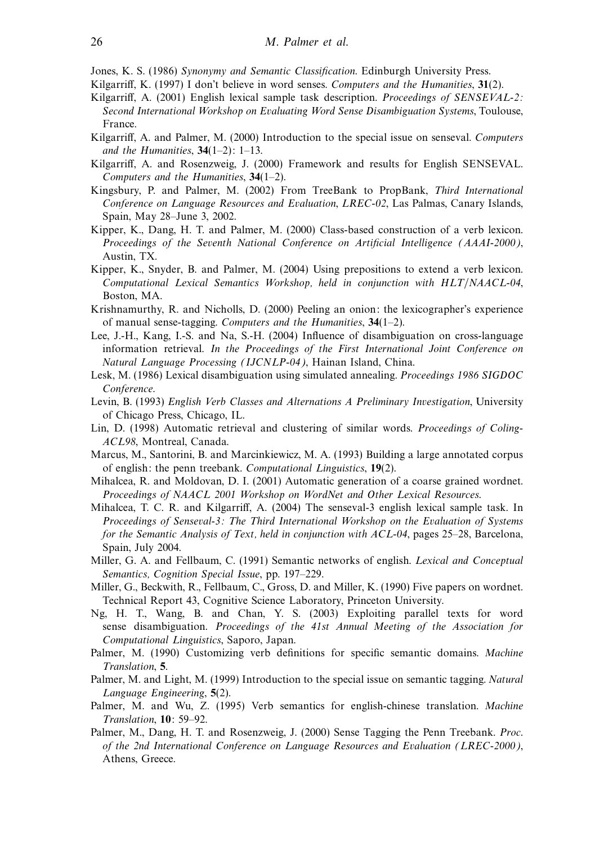Jones, K. S. (1986) Synonymy and Semantic Classification. Edinburgh University Press.

- Kilgarriff, K. (1997) I don't believe in word senses. Computers and the Humanities, **31**(2).
- Kilgarriff, A. (2001) English lexical sample task description. *Proceedings of SENSEVAL-2*: Second International Workshop on Evaluating Word Sense Disambiguation Systems, Toulouse, France.
- Kilgarriff, A. and Palmer, M. (2000) Introduction to the special issue on senseval. Computers and the Humanities, **34**(1–2): 1–13.
- Kilgarriff, A. and Rosenzweig, J. (2000) Framework and results for English SENSEVAL. Computers and the Humanities, **34**(1–2).
- Kingsbury, P. and Palmer, M. (2002) From TreeBank to PropBank, Third International Conference on Language Resources and Evaluation, LREC-02, Las Palmas, Canary Islands, Spain, May 28–June 3, 2002.
- Kipper, K., Dang, H. T. and Palmer, M. (2000) Class-based construction of a verb lexicon. Proceedings of the Seventh National Conference on Artificial Intelligence (AAAI-2000), Austin, TX.
- Kipper, K., Snyder, B. and Palmer, M. (2004) Using prepositions to extend a verb lexicon. Computational Lexical Semantics Workshop, held in conjunction with HLT/NAACL-04, Boston, MA.
- Krishnamurthy, R. and Nicholls, D. (2000) Peeling an onion: the lexicographer's experience of manual sense-tagging. Computers and the Humanities, **34**(1–2).
- Lee, J.-H., Kang, I.-S. and Na, S.-H. (2004) Influence of disambiguation on cross-language information retrieval. In the Proceedings of the First International Joint Conference on Natural Language Processing (IJCNLP-04), Hainan Island, China.
- Lesk, M. (1986) Lexical disambiguation using simulated annealing. Proceedings 1986 SIGDOC Conference.
- Levin, B. (1993) English Verb Classes and Alternations A Preliminary Investigation, University of Chicago Press, Chicago, IL.
- Lin, D. (1998) Automatic retrieval and clustering of similar words. Proceedings of Coling-ACL98, Montreal, Canada.
- Marcus, M., Santorini, B. and Marcinkiewicz, M. A. (1993) Building a large annotated corpus of english: the penn treebank. Computational Linguistics, **19**(2).
- Mihalcea, R. and Moldovan, D. I. (2001) Automatic generation of a coarse grained wordnet. Proceedings of NAACL 2001 Workshop on WordNet and Other Lexical Resources.
- Mihalcea, T. C. R. and Kilgarriff, A. (2004) The senseval-3 english lexical sample task. In Proceedings of Senseval-3: The Third International Workshop on the Evaluation of Systems for the Semantic Analysis of Text, held in conjunction with ACL-04, pages 25–28, Barcelona, Spain, July 2004.
- Miller, G. A. and Fellbaum, C. (1991) Semantic networks of english. Lexical and Conceptual Semantics, Cognition Special Issue, pp. 197–229.
- Miller, G., Beckwith, R., Fellbaum, C., Gross, D. and Miller, K. (1990) Five papers on wordnet. Technical Report 43, Cognitive Science Laboratory, Princeton University.
- Ng, H. T., Wang, B. and Chan, Y. S. (2003) Exploiting parallel texts for word sense disambiguation. Proceedings of the 41st Annual Meeting of the Association for Computational Linguistics, Saporo, Japan.
- Palmer, M. (1990) Customizing verb definitions for specific semantic domains. Machine Translation, **5**.
- Palmer, M. and Light, M. (1999) Introduction to the special issue on semantic tagging. Natural Language Engineering, **5**(2).
- Palmer, M. and Wu, Z. (1995) Verb semantics for english-chinese translation. Machine Translation, **10**: 59–92.
- Palmer, M., Dang, H. T. and Rosenzweig, J. (2000) Sense Tagging the Penn Treebank. Proc. of the 2nd International Conference on Language Resources and Evaluation (LREC-2000), Athens, Greece.